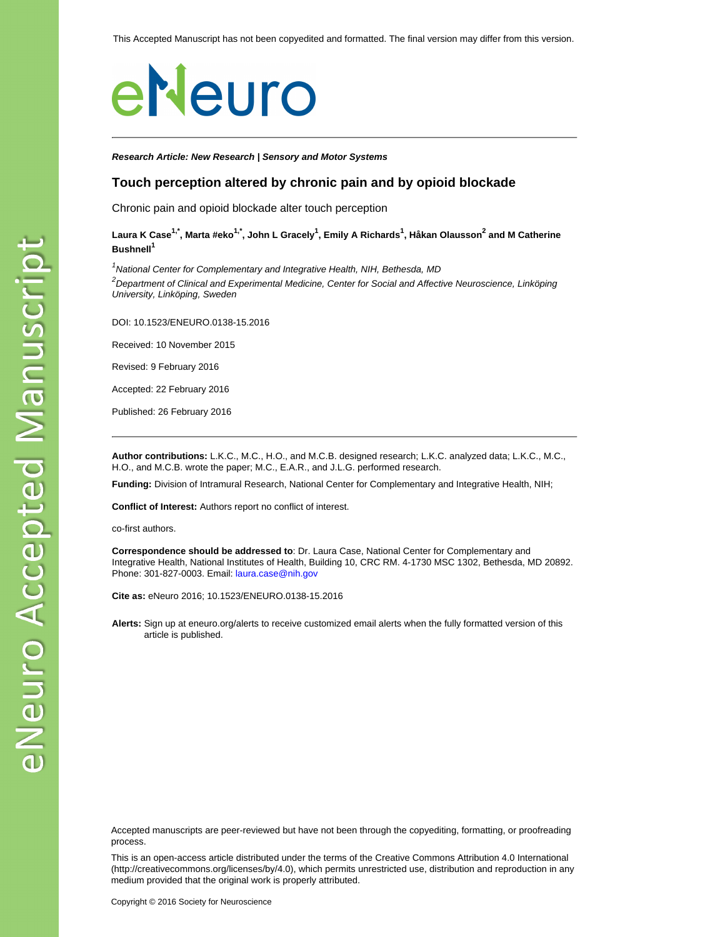# eNeuro

**Research Article: New Research | Sensory and Motor Systems**

### **Touch perception altered by chronic pain and by opioid blockade**

Chronic pain and opioid blockade alter touch perception

## **Laura K Case1,\*, Marta #eko1,\*, John L Gracely<sup>1</sup> , Emily A Richards<sup>1</sup> , Håkan Olausson<sup>2</sup> and M Catherine Bushnell<sup>1</sup>**

 $^{1}$ National Center for Complementary and Integrative Health, NIH, Bethesda, MD <sup>2</sup>Department of Clinical and Experimental Medicine, Center for Social and Affective Neuroscience, Linköping University, Linköping, Sweden

DOI: 10.1523/ENEURO.0138-15.2016

Received: 10 November 2015

Revised: 9 February 2016

Accepted: 22 February 2016

Published: 26 February 2016

**Author contributions:** L.K.C., M.C., H.O., and M.C.B. designed research; L.K.C. analyzed data; L.K.C., M.C., H.O., and M.C.B. wrote the paper; M.C., E.A.R., and J.L.G. performed research.

**Funding:** Division of Intramural Research, National Center for Complementary and Integrative Health, NIH;

**Conflict of Interest:** Authors report no conflict of interest.

co-first authors.

**Correspondence should be addressed to**: Dr. Laura Case, National Center for Complementary and Integrative Health, National Institutes of Health, Building 10, CRC RM. 4-1730 MSC 1302, Bethesda, MD 20892. Phone: 301-827-0003. Email: laura.case@nih.gov

**Cite as:** eNeuro 2016; 10.1523/ENEURO.0138-15.2016

**Alerts:** Sign up at eneuro.org/alerts to receive customized email alerts when the fully formatted version of this article is published.

Accepted manuscripts are peer-reviewed but have not been through the copyediting, formatting, or proofreading process.

This is an open-access article distributed under the terms of the Creative Commons Attribution 4.0 International (http://creativecommons.org/licenses/by/4.0), which permits unrestricted use, distribution and reproduction in any medium provided that the original work is properly attributed.

Copyright © 2016 Society for Neuroscience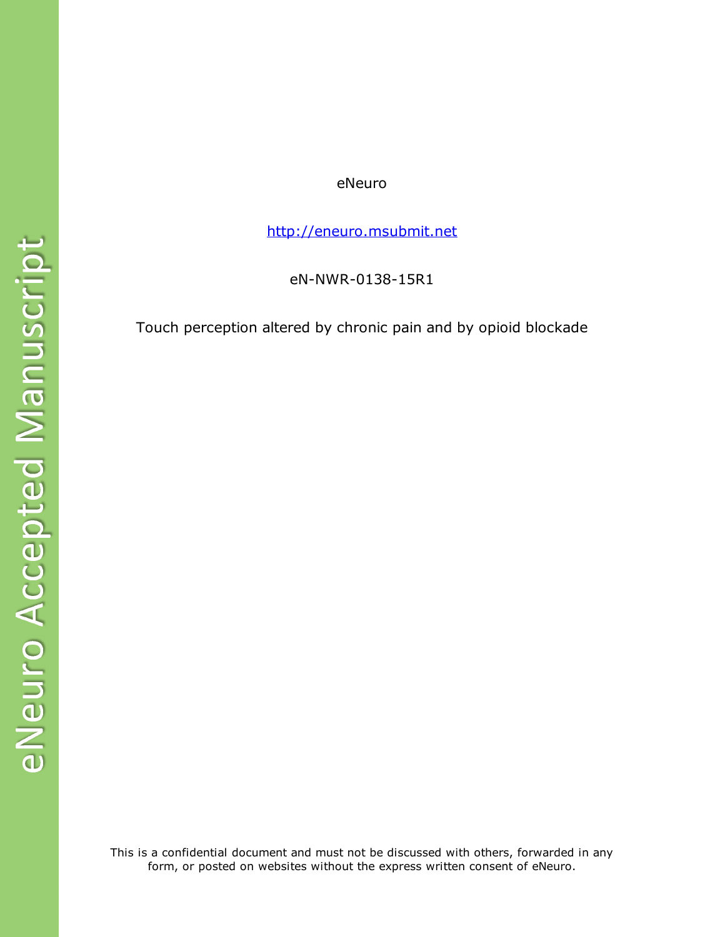# eNeuro

http://eneuro.msubmit.net

eN-NWR-0138-15R1

Touch perception altered by chronic pain and by opioid blockade

This is a confidential document and must not be discussed with others, forwarded in any form, or posted on websites without the express written consent of eNeuro.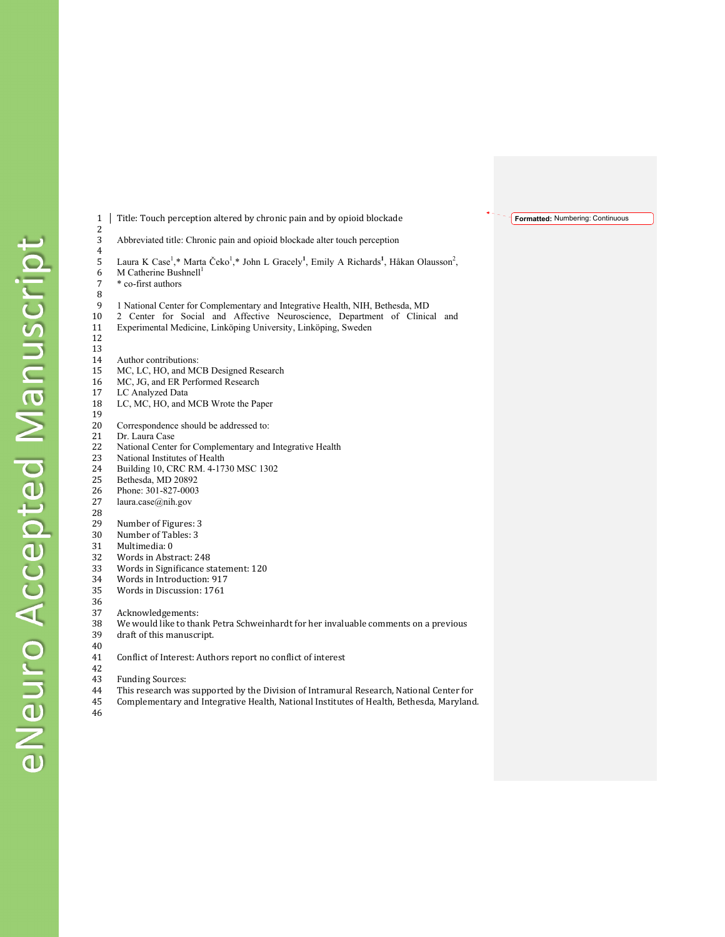| $\mathbf{1}$ | Title: Touch perception altered by chronic pain and by opioid blockade                                                                              | Formatted: Numbering: Continuous |
|--------------|-----------------------------------------------------------------------------------------------------------------------------------------------------|----------------------------------|
| 2<br>3       | Abbreviated title: Chronic pain and opioid blockade alter touch perception                                                                          |                                  |
| 4            |                                                                                                                                                     |                                  |
| 5            | Laura K Case <sup>1</sup> ,* Marta Čeko <sup>1</sup> ,* John L Gracely <sup>1</sup> , Emily A Richards <sup>1</sup> , Håkan Olausson <sup>2</sup> , |                                  |
| 6            | M Catherine Bushnell <sup>1</sup>                                                                                                                   |                                  |
| 7            | * co-first authors                                                                                                                                  |                                  |
| 8            |                                                                                                                                                     |                                  |
| 9            | 1 National Center for Complementary and Integrative Health, NIH, Bethesda, MD                                                                       |                                  |
| 10           | 2 Center for Social and Affective Neuroscience, Department of Clinical and                                                                          |                                  |
| 11           | Experimental Medicine, Linköping University, Linköping, Sweden                                                                                      |                                  |
| 12<br>13     |                                                                                                                                                     |                                  |
| 14           | Author contributions:                                                                                                                               |                                  |
| 15           | MC, LC, HO, and MCB Designed Research                                                                                                               |                                  |
| 16           | MC, JG, and ER Performed Research                                                                                                                   |                                  |
| 17           | LC Analyzed Data                                                                                                                                    |                                  |
| 18           | LC, MC, HO, and MCB Wrote the Paper                                                                                                                 |                                  |
| 19           |                                                                                                                                                     |                                  |
| 20           | Correspondence should be addressed to:                                                                                                              |                                  |
| 21           | Dr. Laura Case                                                                                                                                      |                                  |
| 22           | National Center for Complementary and Integrative Health                                                                                            |                                  |
| 23           | National Institutes of Health                                                                                                                       |                                  |
| 24           | Building 10, CRC RM. 4-1730 MSC 1302                                                                                                                |                                  |
| 25           | Bethesda, MD 20892                                                                                                                                  |                                  |
| 26           | Phone: 301-827-0003                                                                                                                                 |                                  |
| 27           | laura.case@nih.gov                                                                                                                                  |                                  |
| 28           |                                                                                                                                                     |                                  |
| 29           | Number of Figures: 3                                                                                                                                |                                  |
| 30           | Number of Tables: 3                                                                                                                                 |                                  |
| 31           | Multimedia: 0<br>Words in Abstract: 248                                                                                                             |                                  |
| 32<br>33     | Words in Significance statement: 120                                                                                                                |                                  |
| 34           | Words in Introduction: 917                                                                                                                          |                                  |
| 35           | Words in Discussion: 1761                                                                                                                           |                                  |
| 36           |                                                                                                                                                     |                                  |
| 37           | Acknowledgements:                                                                                                                                   |                                  |
| 38           | We would like to thank Petra Schweinhardt for her invaluable comments on a previous                                                                 |                                  |
|              |                                                                                                                                                     |                                  |

- 39 draft of this manuscript.
- $\begin{array}{c} 40 \\ 41 \end{array}$

36<br>37

12 13  $\frac{14}{15}$ 

 $\frac{16}{17}$ <br> $\frac{17}{18}$ 

 $\frac{19}{20}$ 

 $\begin{array}{c} 21 \\ 22 \\ 23 \end{array}$ 

 $\frac{24}{25}$ 

 $30$  $\begin{array}{c} 31 \\ 32 \\ 33 \end{array}$ 

Conflict of Interest: Authors report no conflict of interest

- $\begin{array}{c} 42 \\ 43 \end{array}$
- 43 Funding Sources:<br>44 This research was
- 44 This research was supported by the Division of Intramural Research, National Center for Complementary and Integrative Health, National Institutes of Health, Bethesda, Maryland.
- 46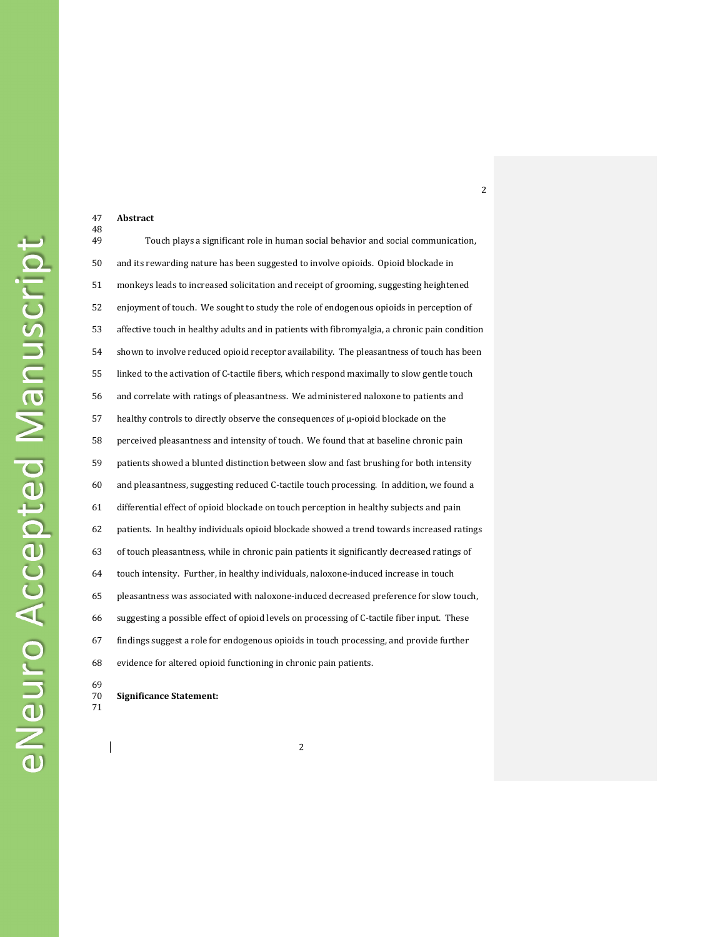# 47 **Abstract**  48 eNeuro Accepted Manuscript Touch plays a significant role in human social behavior and social communication, 50 and its rewarding nature has been suggested to involve opioids. Opioid blockade in 51 monkeys leads to increased solicitation and receipt of grooming, suggesting heightened 52 enjoyment of touch. We sought to study the role of endogenous opioids in perception of 53 affective touch in healthy adults and in patients with fibromyalgia, a chronic pain condition 54 shown to involve reduced opioid receptor availability. The pleasantness of touch has been 55 linked to the activation of C-tactile fibers, which respond maximally to slow gentle touch 56 and correlate with ratings of pleasantness. We administered naloxone to patients and 57 healthy controls to directly observe the consequences of µ-opioid blockade on the 58 perceived pleasantness and intensity of touch. We found that at baseline chronic pain 59 patients showed a blunted distinction between slow and fast brushing for both intensity 60 and pleasantness, suggesting reduced C-tactile touch processing. In addition, we found a 61 differential effect of opioid blockade on touch perception in healthy subjects and pain 62 patients. In healthy individuals opioid blockade showed a trend towards increased ratings 63 of touch pleasantness, while in chronic pain patients it significantly decreased ratings of 64 touch intensity. Further, in healthy individuals, naloxone-induced increase in touch 69 70 **Significance Statement:**  71

2

65 pleasantness was associated with naloxone-induced decreased preference for slow touch,

66 suggesting a possible effect of opioid levels on processing of C-tactile fiber input. These

67 findings suggest a role for endogenous opioids in touch processing, and provide further

68 evidence for altered opioid functioning in chronic pain patients.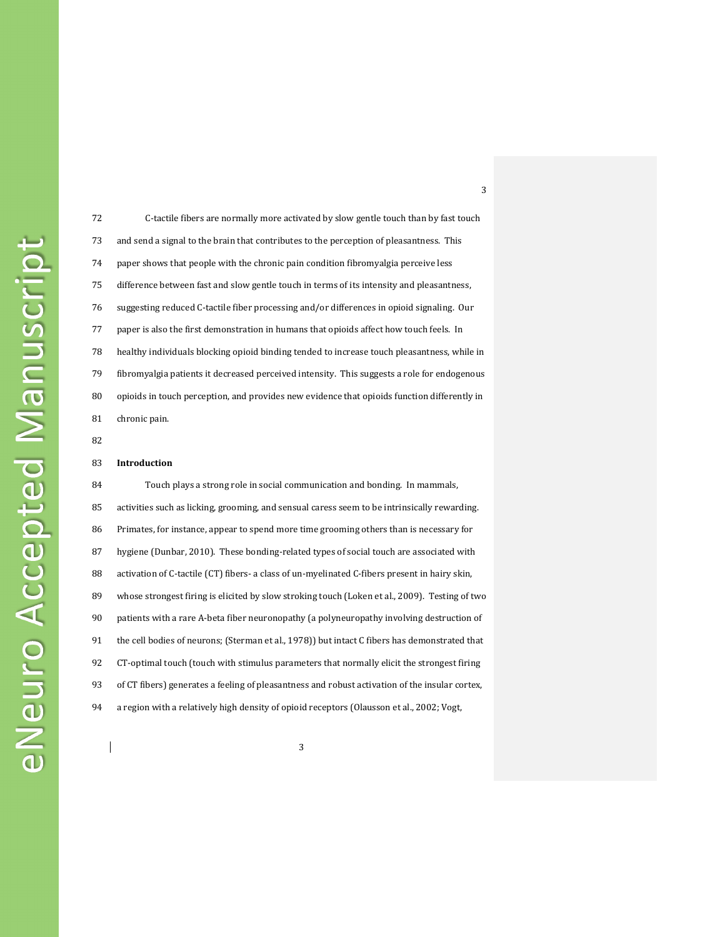72 C-tactile fibers are normally more activated by slow gentle touch than by fast touch 73 and send a signal to the brain that contributes to the perception of pleasantness. This 74 paper shows that people with the chronic pain condition fibromyalgia perceive less 75 difference between fast and slow gentle touch in terms of its intensity and pleasantness, 76 suggesting reduced C-tactile fiber processing and/or differences in opioid signaling. Our 77 paper is also the first demonstration in humans that opioids affect how touch feels. In 78 healthy individuals blocking opioid binding tended to increase touch pleasantness, while in 79 fibromyalgia patients it decreased perceived intensity. This suggests a role for endogenous 80 opioids in touch perception, and provides new evidence that opioids function differently in 81 chronic pain. 82 83 **Introduction** 

84 Touch plays a strong role in social communication and bonding. In mammals, 85 activities such as licking, grooming, and sensual caress seem to be intrinsically rewarding. 86 Primates, for instance, appear to spend more time grooming others than is necessary for 87 hygiene (Dunbar, 2010). These bonding-related types of social touch are associated with 88 activation of C-tactile (CT) fibers- a class of un-myelinated C-fibers present in hairy skin, 89 whose strongest firing is elicited by slow stroking touch (Loken et al., 2009). Testing of two 90 patients with a rare A-beta fiber neuronopathy (a polyneuropathy involving destruction of 91 the cell bodies of neurons; (Sterman et al., 1978)) but intact C fibers has demonstrated that 92 CT-optimal touch (touch with stimulus parameters that normally elicit the strongest firing 93 of CT fibers) generates a feeling of pleasantness and robust activation of the insular cortex, 94 a region with a relatively high density of opioid receptors (Olausson et al., 2002; Vogt,

3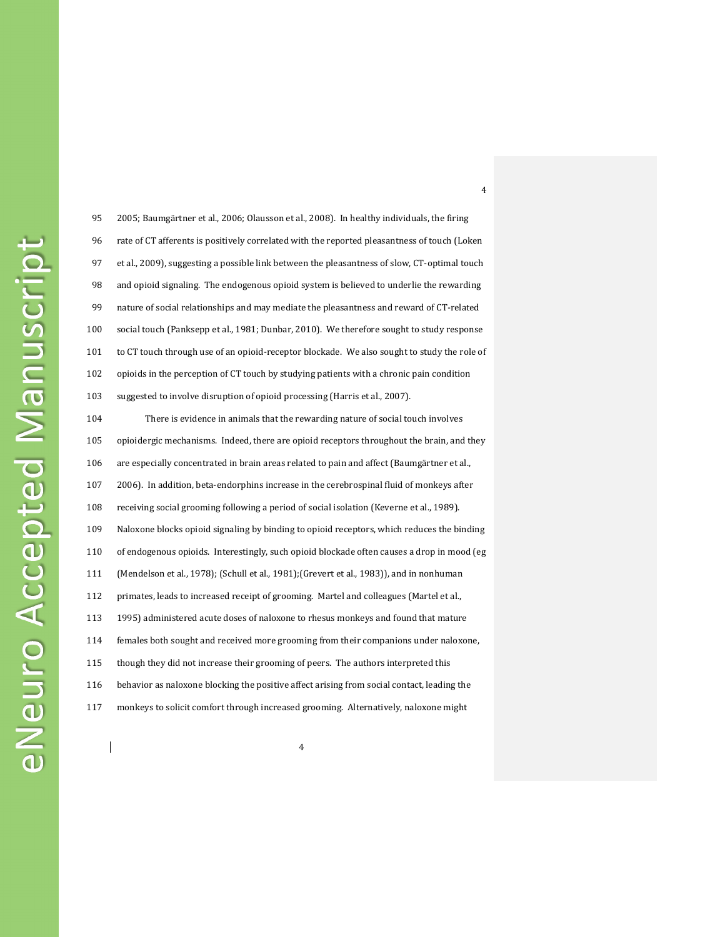95 2005; Baumgärtner et al., 2006; Olausson et al., 2008). In healthy individuals, the firing 96 rate of CT afferents is positively correlated with the reported pleasantness of touch (Loken 97 et al., 2009), suggesting a possible link between the pleasantness of slow, CT-optimal touch 98 and opioid signaling. The endogenous opioid system is believed to underlie the rewarding 99 nature of social relationships and may mediate the pleasantness and reward of CT-related 100 social touch (Panksepp et al., 1981; Dunbar, 2010). We therefore sought to study response 101 to CT touch through use of an opioid-receptor blockade. We also sought to study the role of 102 opioids in the perception of CT touch by studying patients with a chronic pain condition 103 suggested to involve disruption of opioid processing (Harris et al., 2007). 104 There is evidence in animals that the rewarding nature of social touch involves 105 opioidergic mechanisms. Indeed, there are opioid receptors throughout the brain, and they 106 are especially concentrated in brain areas related to pain and affect (Baumgärtner et al., 107 2006). In addition, beta-endorphins increase in the cerebrospinal fluid of monkeys after 108 receiving social grooming following a period of social isolation (Keverne et al., 1989). 109 Naloxone blocks opioid signaling by binding to opioid receptors, which reduces the binding 110 of endogenous opioids. Interestingly, such opioid blockade often causes a drop in mood (eg

111 (Mendelson et al., 1978); (Schull et al., 1981);(Grevert et al., 1983)), and in nonhuman

112 primates, leads to increased receipt of grooming. Martel and colleagues (Martel et al.,

113 1995) administered acute doses of naloxone to rhesus monkeys and found that mature

114 females both sought and received more grooming from their companions under naloxone,

115 though they did not increase their grooming of peers. The authors interpreted this

116 behavior as naloxone blocking the positive affect arising from social contact, leading the

117 monkeys to solicit comfort through increased grooming. Alternatively, naloxone might

4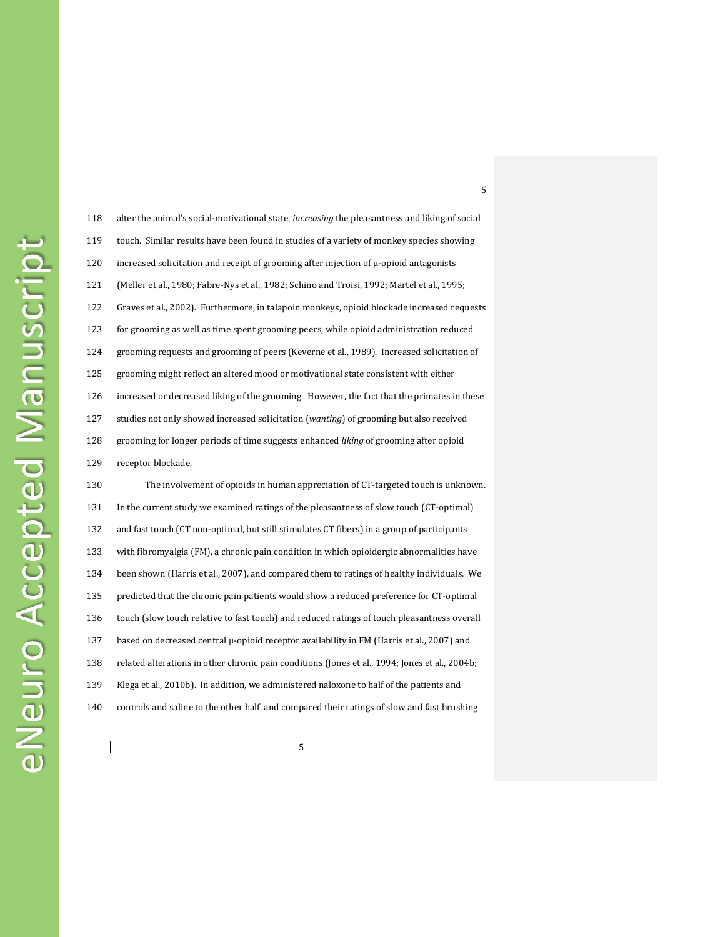118 alter the animal's social-motivational state, *increasing* the pleasantness and liking of social 119 touch. Similar results have been found in studies of a variety of monkey species showing 120 increased solicitation and receipt of grooming after injection of µ-opioid antagonists 121 (Meller et al., 1980; Fabre-Nys et al., 1982; Schino and Troisi, 1992; Martel et al., 1995; 122 Graves et al., 2002). Furthermore, in talapoin monkeys, opioid blockade increased requests 123 for grooming as well as time spent grooming peers, while opioid administration reduced 124 grooming requests and grooming of peers (Keverne et al., 1989). Increased solicitation of 125 grooming might reflect an altered mood or motivational state consistent with either 126 increased or decreased liking of the grooming. However, the fact that the primates in these 127 studies not only showed increased solicitation (*wanting*) of grooming but also received 128 grooming for longer periods of time suggests enhanced *liking* of grooming after opioid 129 receptor blockade. 130 The involvement of opioids in human appreciation of CT-targeted touch is unknown. 131 In the current study we examined ratings of the pleasantness of slow touch (CT-optimal) 132 and fast touch (CT non-optimal, but still stimulates CT fibers) in a group of participants 133 with fibromyalgia (FM), a chronic pain condition in which opioidergic abnormalities have 134 been shown (Harris et al., 2007), and compared them to ratings of healthy individuals. We 135 predicted that the chronic pain patients would show a reduced preference for CT-optimal 136 touch (slow touch relative to fast touch) and reduced ratings of touch pleasantness overall 137 based on decreased central µ-opioid receptor availability in FM (Harris et al., 2007) and 138 related alterations in other chronic pain conditions (Jones et al., 1994; Jones et al., 2004b; 139 Klega et al., 2010b). In addition, we administered naloxone to half of the patients and

140 controls and saline to the other half, and compared their ratings of slow and fast brushing

5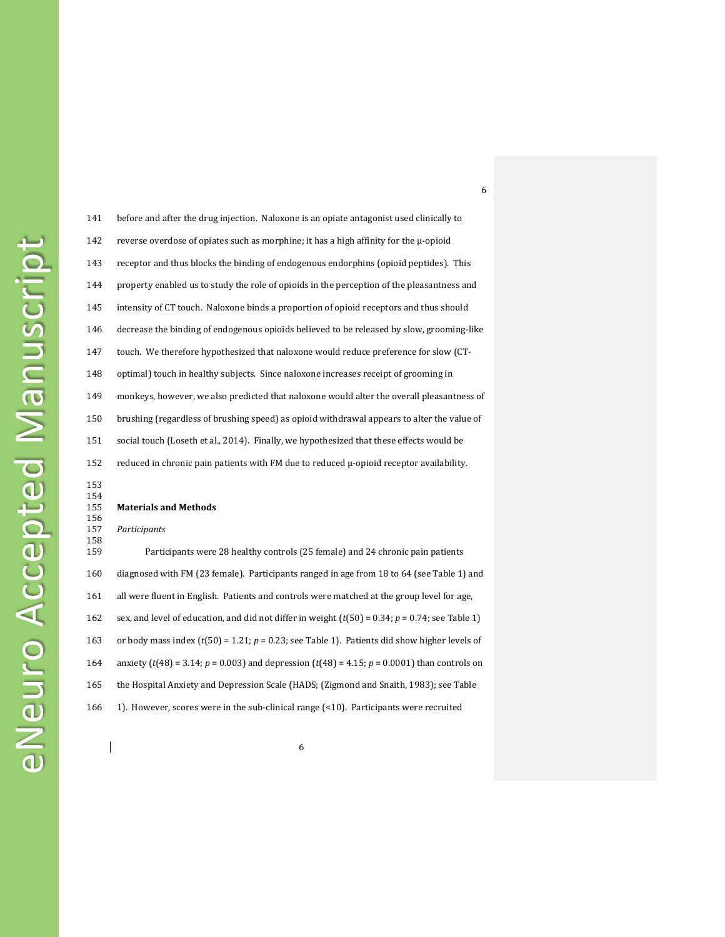158

141 before and after the drug injection. Naloxone is an opiate antagonist used clinically to 142 reverse overdose of opiates such as morphine; it has a high affinity for the μ-opioid 143 receptor and thus blocks the binding of endogenous endorphins (opioid peptides). This 144 property enabled us to study the role of opioids in the perception of the pleasantness and 145 intensity of CT touch. Naloxone binds a proportion of opioid receptors and thus should 146 decrease the binding of endogenous opioids believed to be released by slow, grooming-like 147 touch. We therefore hypothesized that naloxone would reduce preference for slow (CT-148 optimal) touch in healthy subjects. Since naloxone increases receipt of grooming in 149 monkeys, however, we also predicted that naloxone would alter the overall pleasantness of 150 brushing (regardless of brushing speed) as opioid withdrawal appears to alter the value of 151 social touch (Loseth et al., 2014). Finally, we hypothesized that these effects would be 152 reduced in chronic pain patients with FM due to reduced µ-opioid receptor availability. 153 154 **Materials and Methods** 156 157 *Participants* 

159 Participants were 28 healthy controls (25 female) and 24 chronic pain patients 160 diagnosed with FM (23 female). Participants ranged in age from 18 to 64 (see Table 1) and 161 all were fluent in English. Patients and controls were matched at the group level for age, 162 sex, and level of education, and did not differ in weight  $(t(50) = 0.34; p = 0.74$ ; see Table 1) 163 or body mass index  $(t(50) = 1.21; p = 0.23;$  see Table 1). Patients did show higher levels of 164 anxiety (*t*(48) = 3.14; *p* = 0.003) and depression (*t*(48) = 4.15; *p* = 0.0001) than controls on 165 the Hospital Anxiety and Depression Scale (HADS; (Zigmond and Snaith, 1983); see Table 166 1). However, scores were in the sub-clinical range (<10). Participants were recruited

6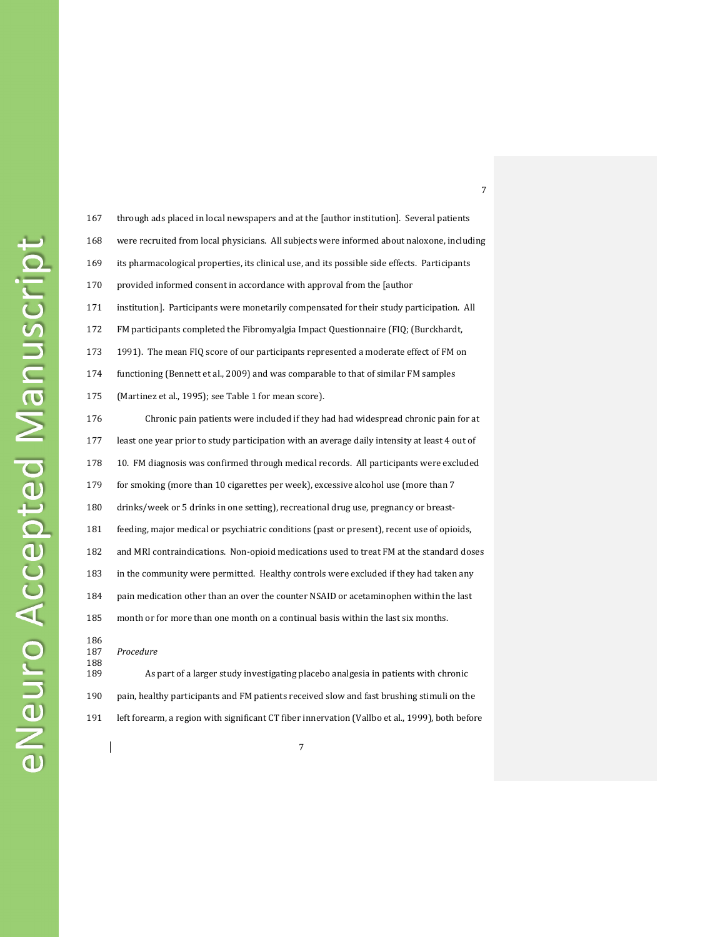167 through ads placed in local newspapers and at the [author institution]. Several patients 168 were recruited from local physicians. All subjects were informed about naloxone, including 169 its pharmacological properties, its clinical use, and its possible side effects. Participants 170 provided informed consent in accordance with approval from the [author 171 institution]. Participants were monetarily compensated for their study participation. All 172 FM participants completed the Fibromyalgia Impact Questionnaire (FIQ; (Burckhardt, 173 1991). The mean FIQ score of our participants represented a moderate effect of FM on 174 functioning (Bennett et al., 2009) and was comparable to that of similar FM samples 175 (Martinez et al., 1995); see Table 1 for mean score). 176 Chronic pain patients were included if they had had widespread chronic pain for at 177 least one year prior to study participation with an average daily intensity at least 4 out of 178 10. FM diagnosis was confirmed through medical records. All participants were excluded 179 for smoking (more than 10 cigarettes per week), excessive alcohol use (more than 7 180 drinks/week or 5 drinks in one setting), recreational drug use, pregnancy or breast-181 feeding, major medical or psychiatric conditions (past or present), recent use of opioids, 182 and MRI contraindications. Non-opioid medications used to treat FM at the standard doses 183 in the community were permitted. Healthy controls were excluded if they had taken any 184 pain medication other than an over the counter NSAID or acetaminophen within the last 185 month or for more than one month on a continual basis within the last six months. 186 187 *Procedure*  188 189 As part of a larger study investigating placebo analgesia in patients with chronic

190 pain, healthy participants and FM patients received slow and fast brushing stimuli on the 191 left forearm, a region with significant CT fiber innervation (Vallbo et al., 1999), both before

7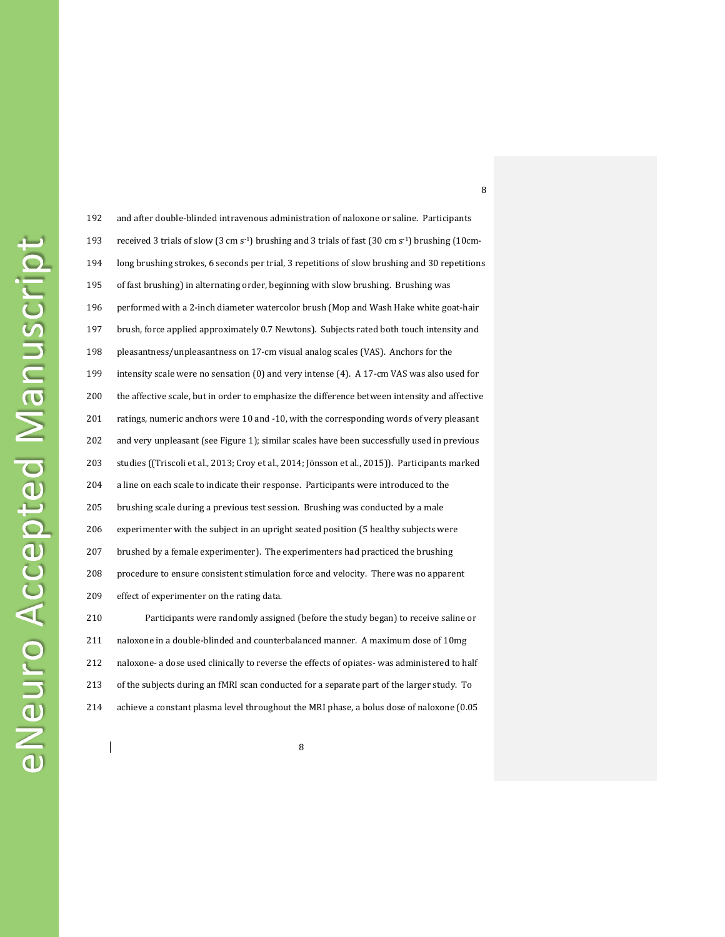192 and after double-blinded intravenous administration of naloxone or saline. Participants 193 received 3 trials of slow  $(3 \text{ cm s}^{-1})$  brushing and 3 trials of fast  $(30 \text{ cm s}^{-1})$  brushing  $(10 \text{ cm}^{-1})$ 194 long brushing strokes, 6 seconds per trial, 3 repetitions of slow brushing and 30 repetitions 195 of fast brushing) in alternating order, beginning with slow brushing. Brushing was 196 performed with a 2-inch diameter watercolor brush (Mop and Wash Hake white goat-hair 197 brush, force applied approximately 0.7 Newtons). Subjects rated both touch intensity and 198 pleasantness/unpleasantness on 17-cm visual analog scales (VAS). Anchors for the 199 intensity scale were no sensation (0) and very intense (4). A 17-cm VAS was also used for 200 the affective scale, but in order to emphasize the difference between intensity and affective 201 ratings, numeric anchors were 10 and -10, with the corresponding words of very pleasant 202 and very unpleasant (see Figure 1); similar scales have been successfully used in previous 203 studies ((Triscoli et al., 2013; Croy et al., 2014; Jönsson et al., 2015)). Participants marked 204 a line on each scale to indicate their response. Participants were introduced to the 205 brushing scale during a previous test session. Brushing was conducted by a male 206 experimenter with the subject in an upright seated position (5 healthy subjects were 207 brushed by a female experimenter). The experimenters had practiced the brushing 208 procedure to ensure consistent stimulation force and velocity. There was no apparent 209 effect of experimenter on the rating data. 210 Participants were randomly assigned (before the study began) to receive saline or 211 naloxone in a double-blinded and counterbalanced manner. A maximum dose of 10mg 212 naloxone- a dose used clinically to reverse the effects of opiates- was administered to half 213 of the subjects during an fMRI scan conducted for a separate part of the larger study. To

214 achieve a constant plasma level throughout the MRI phase, a bolus dose of naloxone (0.05

8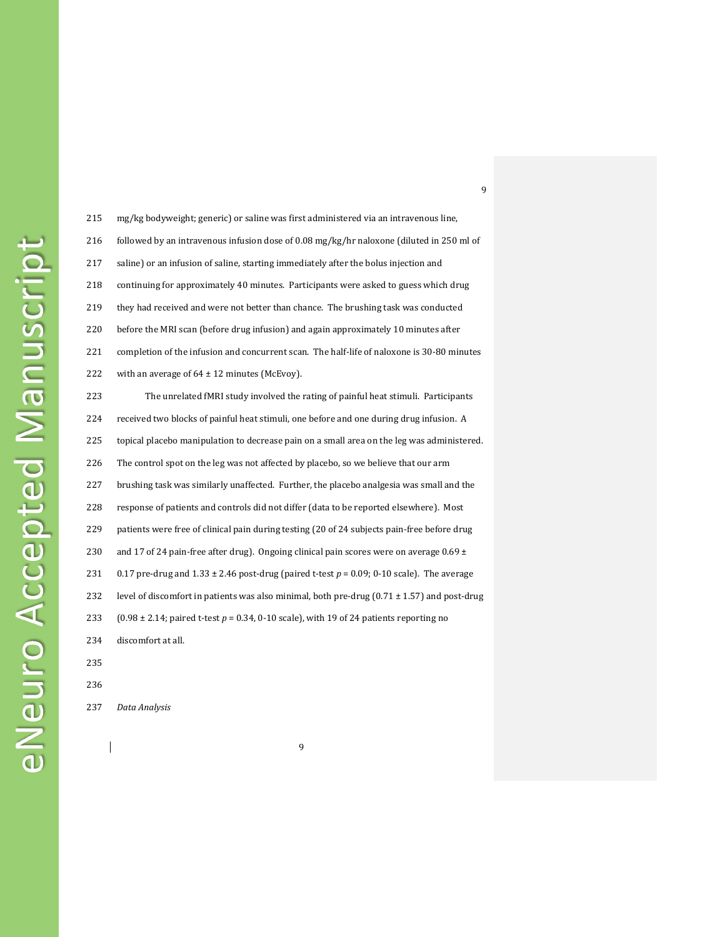237 *Data Analysis* 

215 mg/kg bodyweight; generic) or saline was first administered via an intravenous line, 216 followed by an intravenous infusion dose of 0.08 mg/kg/hr naloxone (diluted in 250 ml of 217 saline) or an infusion of saline, starting immediately after the bolus injection and 218 continuing for approximately 40 minutes. Participants were asked to guess which drug 219 they had received and were not better than chance. The brushing task was conducted 220 before the MRI scan (before drug infusion) and again approximately 10 minutes after 221 completion of the infusion and concurrent scan. The half-life of naloxone is 30-80 minutes 222 with an average of  $64 \pm 12$  minutes (McEvoy). 223 The unrelated fMRI study involved the rating of painful heat stimuli. Participants 224 received two blocks of painful heat stimuli, one before and one during drug infusion. A 225 topical placebo manipulation to decrease pain on a small area on the leg was administered. 226 The control spot on the leg was not affected by placebo, so we believe that our arm 227 brushing task was similarly unaffected. Further, the placebo analgesia was small and the 228 response of patients and controls did not differ (data to be reported elsewhere). Most 229 patients were free of clinical pain during testing (20 of 24 subjects pain-free before drug 230 and 17 of 24 pain-free after drug). Ongoing clinical pain scores were on average  $0.69 \pm 1$ 231 0.17 pre-drug and 1.33 ± 2.46 post-drug (paired t-test *p* = 0.09; 0-10 scale). The average 232 level of discomfort in patients was also minimal, both pre-drug  $(0.71 \pm 1.57)$  and post-drug 233  $(0.98 \pm 2.14)$ ; paired t-test  $p = 0.34$ , 0-10 scale), with 19 of 24 patients reporting no 234 discomfort at all. 235 236

9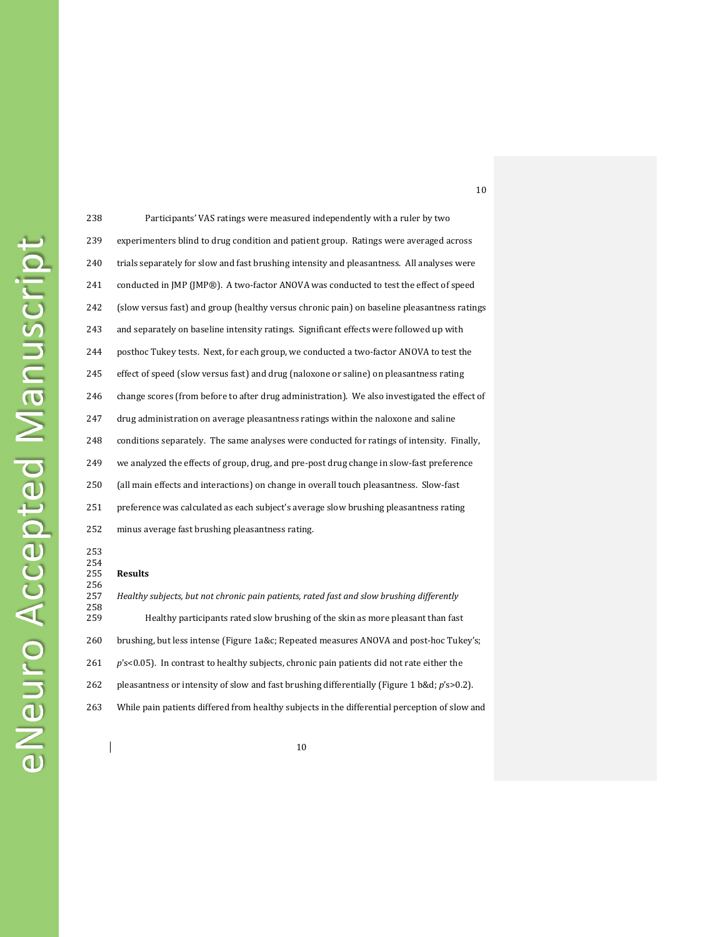| 238               | Participants' VAS ratings were measured independently with a ruler by two                    |
|-------------------|----------------------------------------------------------------------------------------------|
| 239               | experimenters blind to drug condition and patient group. Ratings were averaged across        |
| 240               | trials separately for slow and fast brushing intensity and pleasantness. All analyses were   |
| 241               | conducted in JMP (JMP®). A two-factor ANOVA was conducted to test the effect of speed        |
| 242               | (slow versus fast) and group (healthy versus chronic pain) on baseline pleasantness ratings  |
| 243               | and separately on baseline intensity ratings. Significant effects were followed up with      |
| 244               | posthoc Tukey tests. Next, for each group, we conducted a two-factor ANOVA to test the       |
| 245               | effect of speed (slow versus fast) and drug (naloxone or saline) on pleasantness rating      |
| 246               | change scores (from before to after drug administration). We also investigated the effect of |
| 247               | drug administration on average pleasantness ratings within the naloxone and saline           |
| 248               | conditions separately. The same analyses were conducted for ratings of intensity. Finally,   |
| 249               | we analyzed the effects of group, drug, and pre-post drug change in slow-fast preference     |
| 250               | (all main effects and interactions) on change in overall touch pleasantness. Slow-fast       |
| 251               | preference was calculated as each subject's average slow brushing pleasantness rating        |
| 252               | minus average fast brushing pleasantness rating.                                             |
| 253<br>254<br>255 | <b>Results</b>                                                                               |

#### 255 **Results**

 $\mathsf{l}$ 

256<br>257 257 *Healthy subjects, but not chronic pain patients, rated fast and slow brushing differently*  258<br>259 Healthy participants rated slow brushing of the skin as more pleasant than fast 260 brushing, but less intense (Figure 1a&c; Repeated measures ANOVA and post-hoc Tukey's; 261 *p*'s<0.05). In contrast to healthy subjects, chronic pain patients did not rate either the 262 pleasantness or intensity of slow and fast brushing differentially (Figure 1 b&d; *p*'s>0.2). 263 While pain patients differed from healthy subjects in the differential perception of slow and

10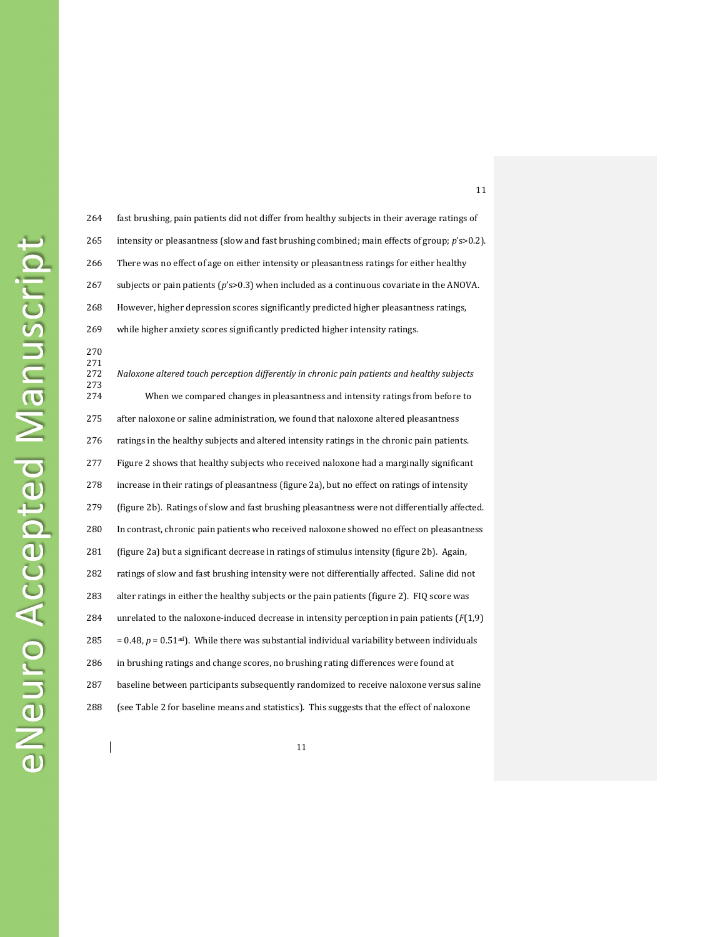264 fast brushing, pain patients did not differ from healthy subjects in their average ratings of 265 intensity or pleasantness (slow and fast brushing combined; main effects of group; *p*'s>0.2). 266 There was no effect of age on either intensity or pleasantness ratings for either healthy 267 subjects or pain patients (*p*'s>0.3) when included as a continuous covariate in the ANOVA. 268 However, higher depression scores significantly predicted higher pleasantness ratings, 269 while higher anxiety scores significantly predicted higher intensity ratings. 270

271 272 *Naloxone altered touch perception differently in chronic pain patients and healthy subjects*  273 274 When we compared changes in pleasantness and intensity ratings from before to 275 after naloxone or saline administration, we found that naloxone altered pleasantness 276 ratings in the healthy subjects and altered intensity ratings in the chronic pain patients. 277 Figure 2 shows that healthy subjects who received naloxone had a marginally significant 278 increase in their ratings of pleasantness (figure 2a), but no effect on ratings of intensity 279 (figure 2b). Ratings of slow and fast brushing pleasantness were not differentially affected. 280 In contrast, chronic pain patients who received naloxone showed no effect on pleasantness 281 (figure 2a) but a significant decrease in ratings of stimulus intensity (figure 2b). Again, 282 ratings of slow and fast brushing intensity were not differentially affected. Saline did not 283 alter ratings in either the healthy subjects or the pain patients (figure 2). FIQ score was 284 unrelated to the naloxone-induced decrease in intensity perception in pain patients  $(F(1,9))$  $285 = 0.48$ ,  $p = 0.51$ <sup>ad</sup>). While there was substantial individual variability between individuals 286 in brushing ratings and change scores, no brushing rating differences were found at 287 baseline between participants subsequently randomized to receive naloxone versus saline 288 (see Table 2 for baseline means and statistics). This suggests that the effect of naloxone

11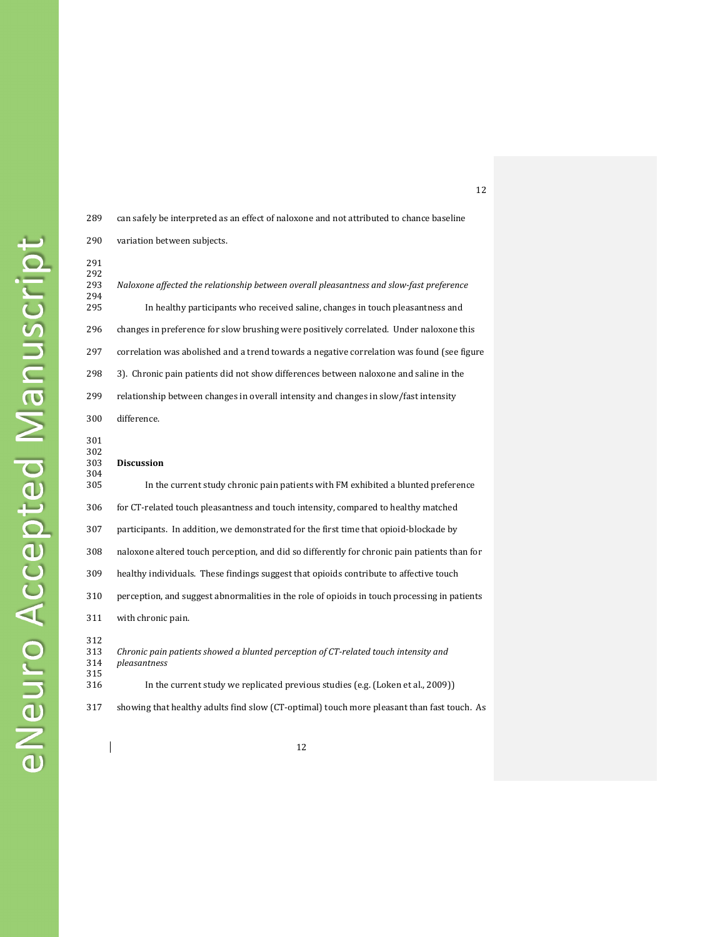293 *Naloxone affected the relationship between overall pleasantness and slow-fast preference*  In healthy participants who received saline, changes in touch pleasantness and 296 changes in preference for slow brushing were positively correlated. Under naloxone this 297 correlation was abolished and a trend towards a negative correlation was found (see figure 298 3). Chronic pain patients did not show differences between naloxone and saline in the 299 relationship between changes in overall intensity and changes in slow/fast intensity 300 difference. 303 **Discussion**  305 In the current study chronic pain patients with FM exhibited a blunted preference

289 can safely be interpreted as an effect of naloxone and not attributed to chance baseline

306 for CT-related touch pleasantness and touch intensity, compared to healthy matched

307 participants. In addition, we demonstrated for the first time that opioid-blockade by

308 naloxone altered touch perception, and did so differently for chronic pain patients than for

309 healthy individuals. These findings suggest that opioids contribute to affective touch

310 perception, and suggest abnormalities in the role of opioids in touch processing in patients

311 with chronic pain.

290 variation between subjects.

291 292<br>293

294<br>295

301 302

304

312

313 *Chronic pain patients showed a blunted perception of CT-related touch intensity and*  314 *pleasantness*  315

316 In the current study we replicated previous studies (e.g. (Loken et al., 2009))

317 showing that healthy adults find slow (CT-optimal) touch more pleasant than fast touch. As

12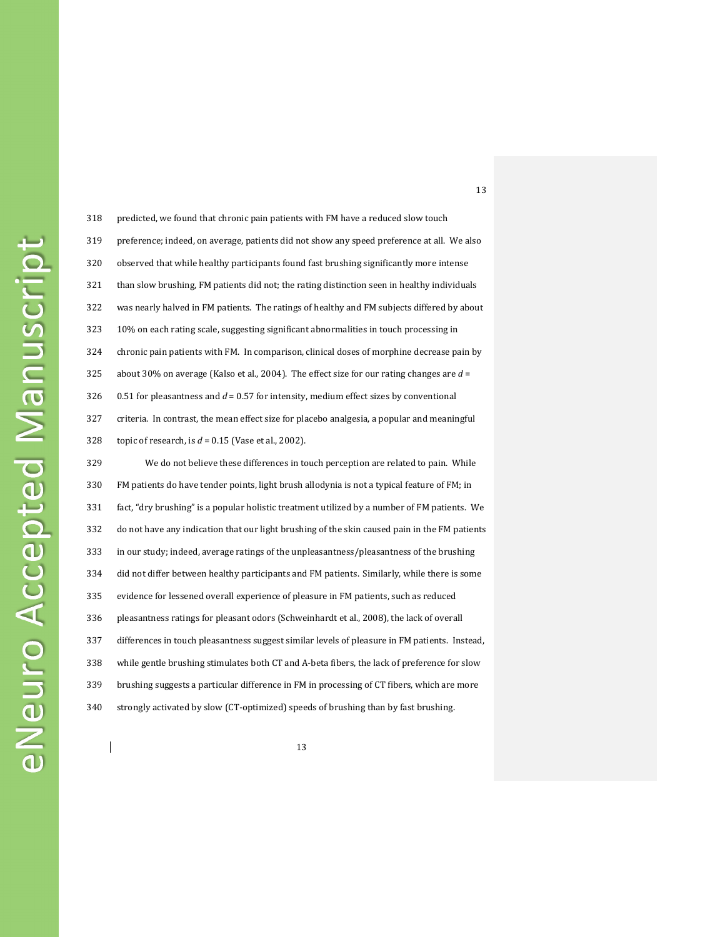318 predicted, we found that chronic pain patients with FM have a reduced slow touch 319 preference; indeed, on average, patients did not show any speed preference at all. We also 320 observed that while healthy participants found fast brushing significantly more intense 321 than slow brushing, FM patients did not; the rating distinction seen in healthy individuals 322 was nearly halved in FM patients. The ratings of healthy and FM subjects differed by about 323 10% on each rating scale, suggesting significant abnormalities in touch processing in 324 chronic pain patients with FM. In comparison, clinical doses of morphine decrease pain by 325 about 30% on average (Kalso et al., 2004). The effect size for our rating changes are *d* = 326  $0.51$  for pleasantness and  $d = 0.57$  for intensity, medium effect sizes by conventional 327 criteria. In contrast, the mean effect size for placebo analgesia, a popular and meaningful 328 topic of research, is *d* = 0.15 (Vase et al., 2002). 329 We do not believe these differences in touch perception are related to pain. While 330 FM patients do have tender points, light brush allodynia is not a typical feature of FM; in 331 fact, "dry brushing" is a popular holistic treatment utilized by a number of FM patients. We 332 do not have any indication that our light brushing of the skin caused pain in the FM patients 333 in our study; indeed, average ratings of the unpleasantness/pleasantness of the brushing 334 did not differ between healthy participants and FM patients.Similarly, while there is some 335 evidence for lessened overall experience of pleasure in FM patients, such as reduced 336 pleasantness ratings for pleasant odors (Schweinhardt et al., 2008), the lack of overall 337 differences in touch pleasantness suggest similar levels of pleasure in FM patients. Instead, 338 while gentle brushing stimulates both CT and A-beta fibers, the lack of preference for slow 339 brushing suggests a particular difference in FM in processing of CT fibers, which are more 340 strongly activated by slow (CT-optimized) speeds of brushing than by fast brushing.

13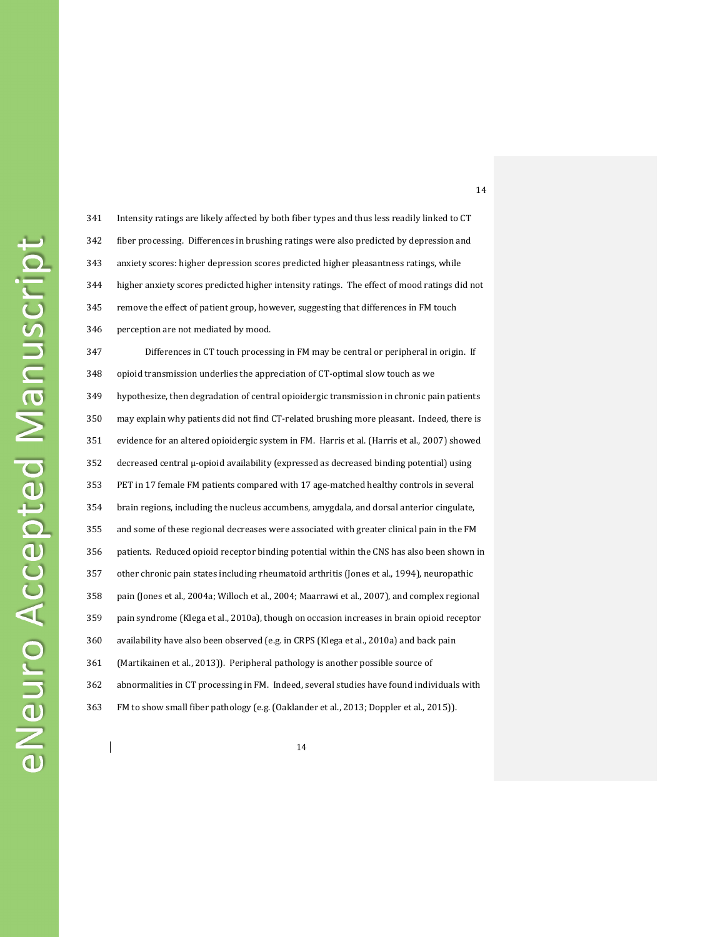341 Intensity ratings are likely affected by both fiber types and thus less readily linked to CT 342 fiber processing. Differences in brushing ratings were also predicted by depression and 343 anxiety scores: higher depression scores predicted higher pleasantness ratings, while 344 higher anxiety scores predicted higher intensity ratings. The effect of mood ratings did not 345 remove the effect of patient group, however, suggesting that differences in FM touch 346 perception are not mediated by mood. 347 Differences in CT touch processing in FM may be central or peripheral in origin. If 348 opioid transmission underlies the appreciation of CT-optimal slow touch as we 349 hypothesize, then degradation of central opioidergic transmission in chronic pain patients 350 may explain why patients did not find CT-related brushing more pleasant. Indeed, there is 351 evidence for an altered opioidergic system in FM. Harris et al. (Harris et al., 2007) showed 352 decreased central µ-opioid availability (expressed as decreased binding potential) using 353 PET in 17 female FM patients compared with 17 age-matched healthy controls in several 354 brain regions, including the nucleus accumbens, amygdala, and dorsal anterior cingulate, 355 and some of these regional decreases were associated with greater clinical pain in the FM 356 patients. Reduced opioid receptor binding potential within the CNS has also been shown in 357 other chronic pain states including rheumatoid arthritis (Jones et al., 1994), neuropathic 358 pain (Jones et al., 2004a; Willoch et al., 2004; Maarrawi et al., 2007), and complex regional 359 pain syndrome (Klega et al., 2010a), though on occasion increases in brain opioid receptor 360 availability have also been observed (e.g. in CRPS (Klega et al., 2010a) and back pain 361 (Martikainen et al., 2013)). Peripheral pathology is another possible source of 362 abnormalities in CT processing in FM. Indeed, several studies have found individuals with 363 FM to show small fiber pathology (e.g. (Oaklander et al., 2013; Doppler et al., 2015)).

14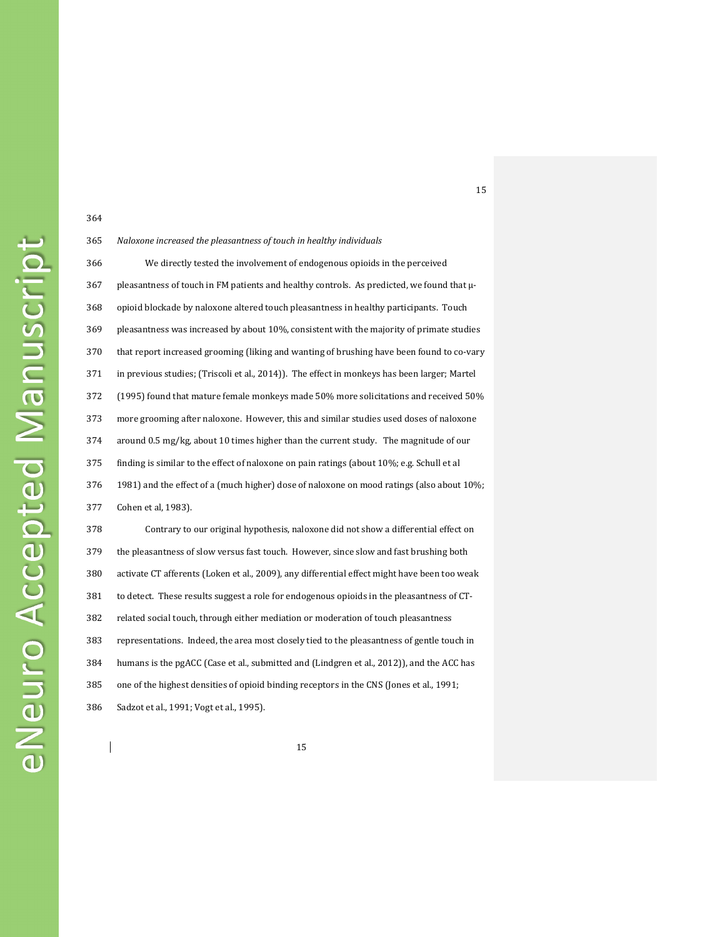eNeuro Accepted Manuscript

364

366 We directly tested the involvement of endogenous opioids in the perceived 367 pleasantness of touch in FM patients and healthy controls. As predicted, we found that μ-368 opioid blockade by naloxone altered touch pleasantness in healthy participants. Touch 369 pleasantness was increased by about 10%, consistent with the majority of primate studies 370 that report increased grooming (liking and wanting of brushing have been found to co-vary 371 in previous studies; (Triscoli et al., 2014)). The effect in monkeys has been larger; Martel 372 (1995) found that mature female monkeys made 50% more solicitations and received 50% 373 more grooming after naloxone. However, this and similar studies used doses of naloxone 374 around 0.5 mg/kg, about 10 times higher than the current study. The magnitude of our 375 finding is similar to the effect of naloxone on pain ratings (about 10%; e.g. Schull et al 376 1981) and the effect of a (much higher) dose of naloxone on mood ratings (also about 10%; 377 Cohen et al, 1983). 378 Contrary to our original hypothesis, naloxone did not show a differential effect on 379 the pleasantness of slow versus fast touch. However, since slow and fast brushing both 380 activate CT afferents (Loken et al., 2009), any differential effect might have been too weak 381 to detect. These results suggest a role for endogenous opioids in the pleasantness of CT-382 related social touch, through either mediation or moderation of touch pleasantness 383 representations. Indeed, the area most closely tied to the pleasantness of gentle touch in 384 humans is the pgACC (Case et al., submitted and (Lindgren et al., 2012)), and the ACC has 385 one of the highest densities of opioid binding receptors in the CNS (Jones et al., 1991; 386 Sadzot et al., 1991; Vogt et al., 1995).

365 *Naloxone increased the pleasantness of touch in healthy individuals* 

15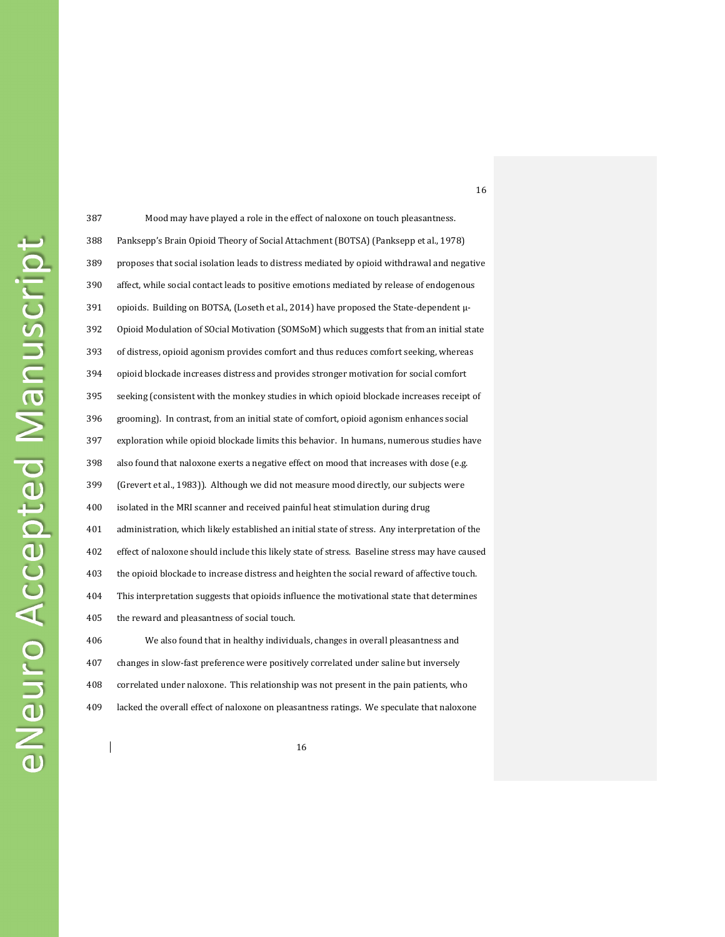$\begin{array}{c} \hline \end{array}$ 

| 387 | Mood may have played a role in the effect of naloxone on touch pleasantness.                   |
|-----|------------------------------------------------------------------------------------------------|
| 388 | Panksepp's Brain Opioid Theory of Social Attachment (BOTSA) (Panksepp et al., 1978)            |
| 389 | proposes that social isolation leads to distress mediated by opioid withdrawal and negative    |
| 390 | affect, while social contact leads to positive emotions mediated by release of endogenous      |
| 391 | opioids. Building on BOTSA, (Loseth et al., 2014) have proposed the State-dependent µ-         |
| 392 | Opioid Modulation of SOcial Motivation (SOMSoM) which suggests that from an initial state      |
| 393 | of distress, opioid agonism provides comfort and thus reduces comfort seeking, whereas         |
| 394 | opioid blockade increases distress and provides stronger motivation for social comfort         |
| 395 | seeking (consistent with the monkey studies in which opioid blockade increases receipt of      |
| 396 | grooming). In contrast, from an initial state of comfort, opioid agonism enhances social       |
| 397 | exploration while opioid blockade limits this behavior. In humans, numerous studies have       |
| 398 | also found that naloxone exerts a negative effect on mood that increases with dose (e.g.       |
| 399 | (Grevert et al., 1983)). Although we did not measure mood directly, our subjects were          |
| 400 | isolated in the MRI scanner and received painful heat stimulation during drug                  |
| 401 | administration, which likely established an initial state of stress. Any interpretation of the |
| 402 | effect of naloxone should include this likely state of stress. Baseline stress may have caused |
| 403 | the opioid blockade to increase distress and heighten the social reward of affective touch.    |
| 404 | This interpretation suggests that opioids influence the motivational state that determines     |
| 405 | the reward and pleasantness of social touch.                                                   |
| 406 | We also found that in healthy individuals, changes in overall pleasantness and                 |
| 407 | changes in slow-fast preference were positively correlated under saline but inversely          |
| 408 | correlated under naloxone. This relationship was not present in the pain patients, who         |
| 409 | lacked the overall effect of naloxone on pleasantness ratings. We speculate that naloxone      |

16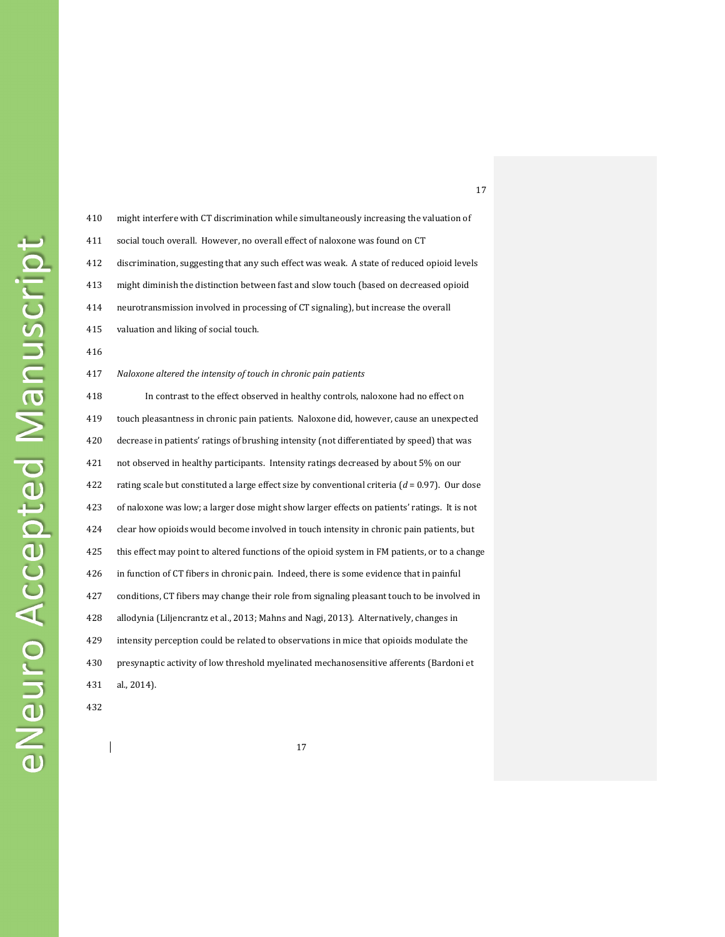411 social touch overall. However, no overall effect of naloxone was found on CT 412 discrimination, suggesting that any such effect was weak. A state of reduced opioid levels 413 might diminish the distinction between fast and slow touch (based on decreased opioid 414 neurotransmission involved in processing of CT signaling), but increase the overall 415 valuation and liking of social touch. 416 417 *Naloxone altered the intensity of touch in chronic pain patients*  418 In contrast to the effect observed in healthy controls, naloxone had no effect on 419 touch pleasantness in chronic pain patients. Naloxone did, however, cause an unexpected 420 decrease in patients' ratings of brushing intensity (not differentiated by speed) that was 421 not observed in healthy participants. Intensity ratings decreased by about 5% on our 422 rating scale but constituted a large effect size by conventional criteria (*d* = 0.97). Our dose 423 of naloxone was low; a larger dose might show larger effects on patients' ratings. It is not 424 clear how opioids would become involved in touch intensity in chronic pain patients, but 425 this effect may point to altered functions of the opioid system in FM patients, or to a change 426 in function of CT fibers in chronic pain. Indeed, there is some evidence that in painful 427 conditions, CT fibers may change their role from signaling pleasant touch to be involved in 428 allodynia (Liljencrantz et al., 2013; Mahns and Nagi, 2013). Alternatively, changes in 429 intensity perception could be related to observations in mice that opioids modulate the

410 might interfere with CT discrimination while simultaneously increasing the valuation of

430 presynaptic activity of low threshold myelinated mechanosensitive afferents (Bardoni et

431 al., 2014).

432

17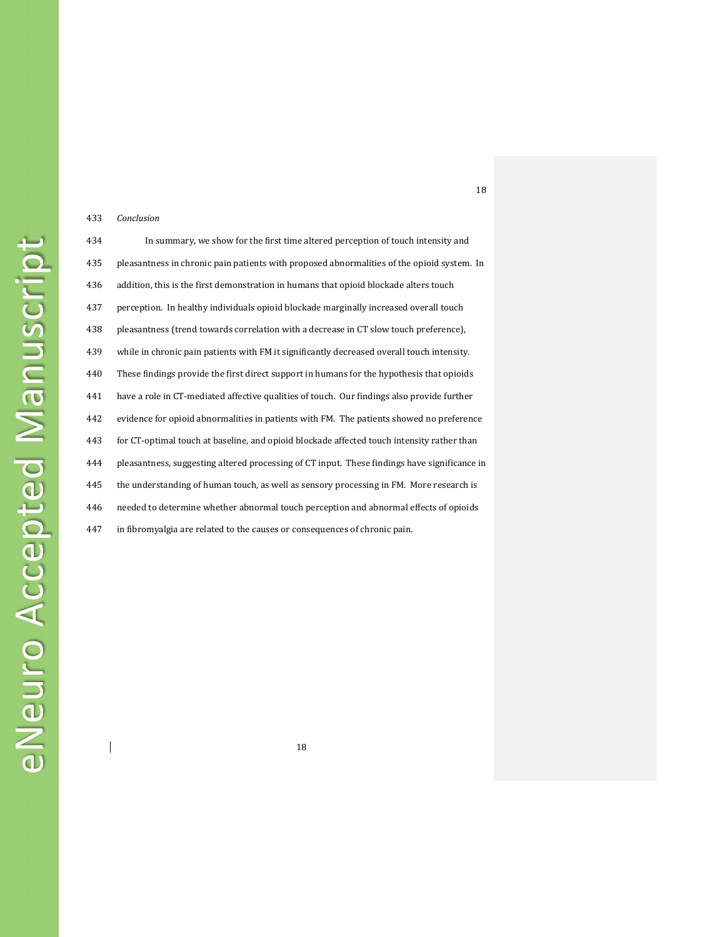#### 433 *Conclusion*

 $\overline{\phantom{a}}$ 

434 In summary, we show for the first time altered perception of touch intensity and 435 pleasantness in chronic pain patients with proposed abnormalities of the opioid system. In 436 addition, this is the first demonstration in humans that opioid blockade alters touch 437 perception. In healthy individuals opioid blockade marginally increased overall touch 438 pleasantness (trend towards correlation with a decrease in CT slow touch preference), 439 while in chronic pain patients with FM it significantly decreased overall touch intensity. 440 These findings provide the first direct support in humans for the hypothesis that opioids 441 have a role in CT-mediated affective qualities of touch. Our findings also provide further 442 evidence for opioid abnormalities in patients with FM. The patients showed no preference 443 for CT-optimal touch at baseline, and opioid blockade affected touch intensity rather than 444 pleasantness, suggesting altered processing of CT input. These findings have significance in 445 the understanding of human touch, as well as sensory processing in FM. More research is 446 needed to determine whether abnormal touch perception and abnormal effects of opioids 447 in fibromyalgia are related to the causes or consequences of chronic pain.

18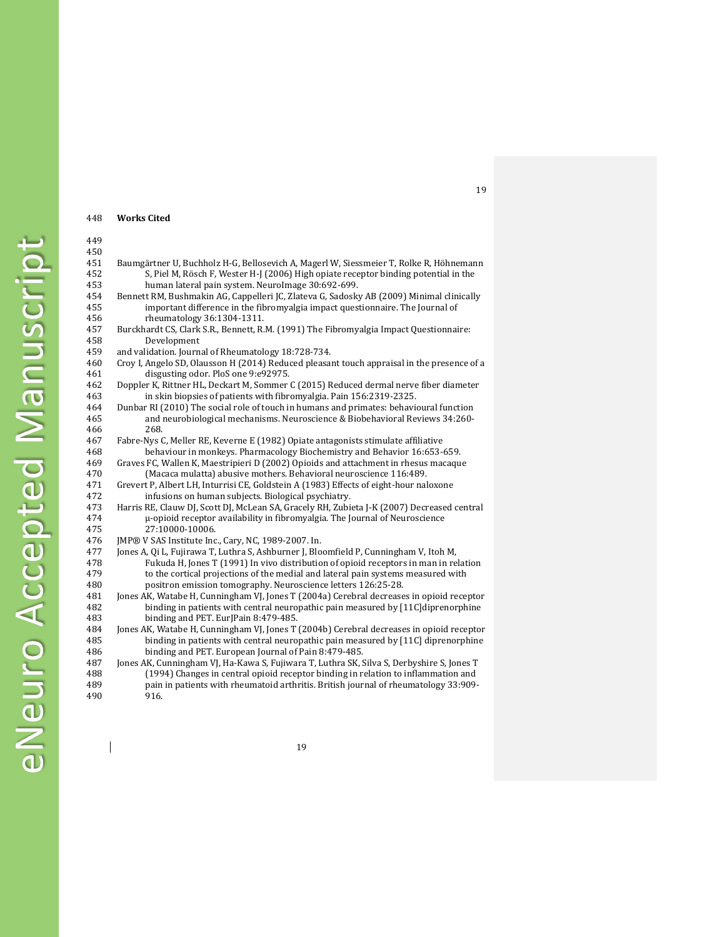#### 448 **Works Cited**

449 450

 $\overline{\phantom{a}}$ 

| 452 | S, Piel M, Rösch F, Wester H-J (2006) High opiate receptor binding potential in the        |
|-----|--------------------------------------------------------------------------------------------|
| 453 | human lateral pain system. NeuroImage 30:692-699.                                          |
| 454 | Bennett RM, Bushmakin AG, Cappelleri JC, Zlateva G, Sadosky AB (2009) Minimal clinically   |
| 455 | important difference in the fibromyalgia impact questionnaire. The Journal of              |
| 456 | rheumatology 36:1304-1311.                                                                 |
| 457 | Burckhardt CS, Clark S.R., Bennett, R.M. (1991) The Fibromyalgia Impact Questionnaire:     |
| 458 | Development                                                                                |
| 459 | and validation. Journal of Rheumatology 18:728-734.                                        |
| 460 | Croy I, Angelo SD, Olausson H (2014) Reduced pleasant touch appraisal in the presence of a |
| 461 | disgusting odor. PloS one 9:e92975.                                                        |
| 462 | Doppler K, Rittner HL, Deckart M, Sommer C (2015) Reduced dermal nerve fiber diameter      |
| 463 | in skin biopsies of patients with fibromyalgia. Pain 156:2319-2325.                        |
| 464 | Dunbar RI (2010) The social role of touch in humans and primates: behavioural function     |
| 465 | and neurobiological mechanisms. Neuroscience & Biobehavioral Reviews 34:260-               |
| 466 | 268.                                                                                       |
| 467 | Fabre-Nys C, Meller RE, Keverne E (1982) Opiate antagonists stimulate affiliative          |
| 468 | behaviour in monkeys. Pharmacology Biochemistry and Behavior 16:653-659.                   |
| 469 | Graves FC, Wallen K, Maestripieri D (2002) Opioids and attachment in rhesus macaque        |
| 470 | (Macaca mulatta) abusive mothers. Behavioral neuroscience 116:489.                         |

451 Baumgärtner U, Buchholz H-G, Bellosevich A, Magerl W, Siessmeier T, Rolke R, Höhnemann

471 Grevert P, Albert LH, Inturrisi CE, Goldstein A (1983) Effects of eight-hour naloxone

472 infusions on human subjects. Biological psychiatry.<br>473 Harris RE, Clauw DJ, Scott DJ, McLean SA, Gracely RH, Zubi Harris RE, Clauw DJ, Scott DJ, McLean SA, Gracely RH, Zubieta J-K (2007) Decreased central 474 μ-opioid receptor availability in fibromyalgia. The Journal of Neuroscience 475 27:10000-10006.

476 JMP® V SAS Institute Inc., Cary, NC, 1989-2007. In.

477 Jones A, Qi L, Fujirawa T, Luthra S, Ashburner J, Bloomfield P, Cunningham V, Itoh M, 478 Fukuda H, Jones T (1991) In vivo distribution of opioid receptors in man in relation 479 to the cortical projections of the medial and lateral pain systems measured with<br>480 spositron emission tomography. Neuroscience letters 126:25-28. positron emission tomography. Neuroscience letters 126:25-28.

481 Jones AK, Watabe H, Cunningham VJ, Jones T (2004a) Cerebral decreases in opioid receptor<br>482 binding in patients with central neuropathic pain measured by [11C] diprenorphine binding in patients with central neuropathic pain measured by [11C]diprenorphine 483 binding and PET. EurJPain 8:479-485.

484 Jones AK, Watabe H, Cunningham VJ, Jones T (2004b) Cerebral decreases in opioid receptor<br>485 binding in patients with central neuropathic pain measured by [11C] diprenorphine 485 binding in patients with central neuropathic pain measured by [11C] diprenorphine 486 binding and PET. European Journal of Pain 8:479-485.<br>487 Jones AK, Cunningham VJ, Ha-Kawa S, Fujiwara T, Luthra SK, S

Jones AK, Cunningham VJ, Ha-Kawa S, Fujiwara T, Luthra SK, Silva S, Derbyshire S, Jones T 488 (1994) Changes in central opioid receptor binding in relation to inflammation and 489 pain in patients with rheumatoid arthritis. British journal of rheumatology 33:909- 490 916.

19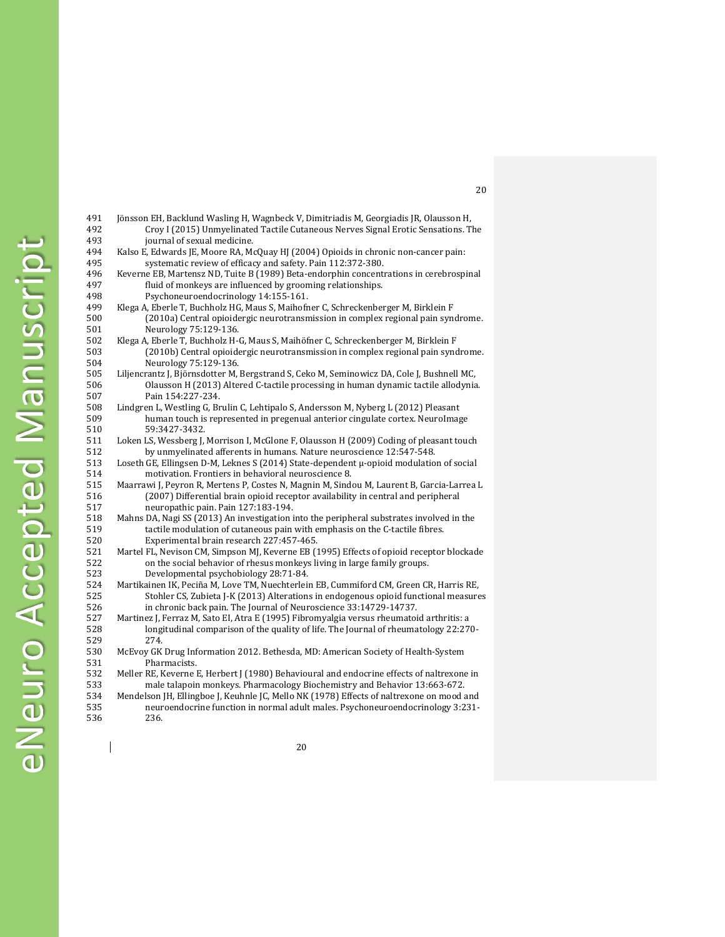| 492 | Croy I (2015) Unmyelinated Tactile Cutaneous Nerves Signal Erotic Sensations. The         |
|-----|-------------------------------------------------------------------------------------------|
| 493 | journal of sexual medicine.                                                               |
| 494 | Kalso E, Edwards JE, Moore RA, McQuay HJ (2004) Opioids in chronic non-cancer pain:       |
| 495 | systematic review of efficacy and safety. Pain 112:372-380.                               |
| 496 | Keverne EB, Martensz ND, Tuite B (1989) Beta-endorphin concentrations in cerebrospinal    |
| 497 | fluid of monkeys are influenced by grooming relationships.                                |
| 498 | Psychoneuroendocrinology 14:155-161.                                                      |
| 499 | Klega A, Eberle T, Buchholz HG, Maus S, Maihofner C, Schreckenberger M, Birklein F        |
| 500 | (2010a) Central opioidergic neurotransmission in complex regional pain syndrome.          |
| 501 | Neurology 75:129-136.                                                                     |
| 502 | Klega A, Eberle T, Buchholz H-G, Maus S, Maihöfner C, Schreckenberger M, Birklein F       |
| 503 | (2010b) Central opioidergic neurotransmission in complex regional pain syndrome.          |
| 504 | Neurology 75:129-136.                                                                     |
| 505 | Liljencrantz J, Björnsdotter M, Bergstrand S, Ceko M, Seminowicz DA, Cole J, Bushnell MC, |
| 506 | Olausson H (2013) Altered C-tactile processing in human dynamic tactile allodynia.        |
| 507 | Pain 154:227-234.                                                                         |
| 508 | Lindgren L, Westling G, Brulin C, Lehtipalo S, Andersson M, Nyberg L (2012) Pleasant      |
| 509 | human touch is represented in pregenual anterior cingulate cortex. Neurolmage             |
| 510 | 59:3427-3432.                                                                             |
| 511 | Loken LS, Wessberg J, Morrison I, McGlone F, Olausson H (2009) Coding of pleasant touch   |
| 512 | by unmyelinated afferents in humans. Nature neuroscience 12:547-548.                      |
| 513 | Loseth GE, Ellingsen D-M, Leknes S (2014) State-dependent µ-opioid modulation of social   |
| 514 | motivation. Frontiers in behavioral neuroscience 8.                                       |
| 515 | Maarrawi J, Peyron R, Mertens P, Costes N, Magnin M, Sindou M, Laurent B, Garcia-Larrea L |
| 516 | (2007) Differential brain opioid receptor availability in central and peripheral          |
| 517 | neuropathic pain. Pain 127:183-194.                                                       |
| 518 | Mahns DA, Nagi SS (2013) An investigation into the peripheral substrates involved in the  |
| 519 | tactile modulation of cutaneous pain with emphasis on the C-tactile fibres.               |
| 520 | Experimental brain research 227:457-465.                                                  |
| 521 | Martel FL, Nevison CM, Simpson MJ, Keverne EB (1995) Effects of opioid receptor blockade  |
| 522 | on the social behavior of rhesus monkeys living in large family groups.                   |
| 523 | Developmental psychobiology 28:71-84.                                                     |
| 524 | Martikainen IK, Peciña M, Love TM, Nuechterlein EB, Cummiford CM, Green CR, Harris RE,    |
| 525 | Stohler CS, Zubieta J-K (2013) Alterations in endogenous opioid functional measures       |
| 526 | in chronic back pain. The Journal of Neuroscience 33:14729-14737.                         |
| 527 | Martinez J, Ferraz M, Sato EI, Atra E (1995) Fibromyalgia versus rheumatoid arthritis: a  |
| 528 | longitudinal comparison of the quality of life. The Journal of rheumatology 22:270-       |

491 Jönsson EH, Backlund Wasling H, Wagnbeck V, Dimitriadis M, Georgiadis JR, Olausson H,

- 529 274. 530 McEvoy GK Drug Information 2012. Bethesda, MD: American Society of Health-System Pharmacists.
- 532 Meller RE, Keverne E, Herbert J (1980) Behavioural and endocrine effects of naltrexone in 533 male talapoin monkeys. Pharmacology Biochemistry and Behavior 13:663-672.
- 534 Mendelson JH, Ellingboe J, Keuhnle JC, Mello NK (1978) Effects of naltrexone on mood and
- 535 neuroendocrine function in normal adult males. Psychoneuroendocrinology 3:231- 536 236.

20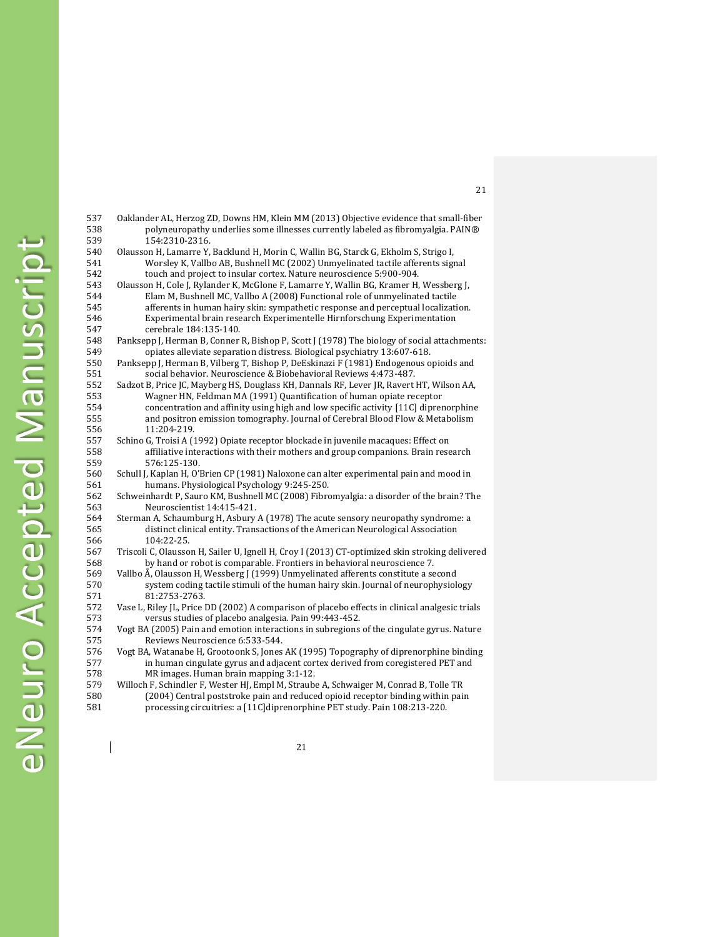$\overline{\phantom{a}}$ 

| 537<br>538<br>539 | Oaklander AL, Herzog ZD, Downs HM, Klein MM (2013) Objective evidence that small-fiber<br>polyneuropathy underlies some illnesses currently labeled as fibromyalgia. PAIN®<br>154:2310-2316. |
|-------------------|----------------------------------------------------------------------------------------------------------------------------------------------------------------------------------------------|
| 540               | Olausson H, Lamarre Y, Backlund H, Morin C, Wallin BG, Starck G, Ekholm S, Strigo I,                                                                                                         |
| 541               | Worsley K, Vallbo AB, Bushnell MC (2002) Unmyelinated tactile afferents signal                                                                                                               |
| 542               | touch and project to insular cortex. Nature neuroscience 5:900-904.                                                                                                                          |
| 543               | Olausson H, Cole J, Rylander K, McGlone F, Lamarre Y, Wallin BG, Kramer H, Wessberg J,                                                                                                       |
| 544               | Elam M, Bushnell MC, Vallbo A (2008) Functional role of unmyelinated tactile                                                                                                                 |
| 545               | afferents in human hairy skin: sympathetic response and perceptual localization.                                                                                                             |
| 546               | Experimental brain research Experimentelle Hirnforschung Experimentation                                                                                                                     |
| 547               | cerebrale 184:135-140.                                                                                                                                                                       |
| 548               | Panksepp J, Herman B, Conner R, Bishop P, Scott J (1978) The biology of social attachments:                                                                                                  |
| 549               | opiates alleviate separation distress. Biological psychiatry 13:607-618.                                                                                                                     |
| 550               | Panksepp J, Herman B, Vilberg T, Bishop P, DeEskinazi F (1981) Endogenous opioids and                                                                                                        |
| 551               | social behavior. Neuroscience & Biobehavioral Reviews 4:473-487.                                                                                                                             |
| 552               | Sadzot B, Price JC, Mayberg HS, Douglass KH, Dannals RF, Lever JR, Ravert HT, Wilson AA,                                                                                                     |
| 553               | Wagner HN, Feldman MA (1991) Quantification of human opiate receptor                                                                                                                         |
| 554               | concentration and affinity using high and low specific activity [11C] diprenorphine                                                                                                          |
| 555               | and positron emission tomography. Journal of Cerebral Blood Flow & Metabolism                                                                                                                |
| 556               | 11:204-219.                                                                                                                                                                                  |
| 557               | Schino G, Troisi A (1992) Opiate receptor blockade in juvenile macaques: Effect on                                                                                                           |
| 558               | affiliative interactions with their mothers and group companions. Brain research                                                                                                             |
| 559               | 576:125-130.                                                                                                                                                                                 |
| 560               | Schull J, Kaplan H, O'Brien CP (1981) Naloxone can alter experimental pain and mood in                                                                                                       |
| 561               | humans. Physiological Psychology 9:245-250.                                                                                                                                                  |
| 562               | Schweinhardt P, Sauro KM, Bushnell MC (2008) Fibromyalgia: a disorder of the brain? The                                                                                                      |
| 563               | Neuroscientist 14:415-421.                                                                                                                                                                   |
| 564               | Sterman A, Schaumburg H, Asbury A (1978) The acute sensory neuropathy syndrome: a                                                                                                            |
| 565               | distinct clinical entity. Transactions of the American Neurological Association                                                                                                              |
| 566               | 104:22-25.                                                                                                                                                                                   |
| 567               | Triscoli C, Olausson H, Sailer U, Ignell H, Croy I (2013) CT-optimized skin stroking delivered                                                                                               |
| 568               | by hand or robot is comparable. Frontiers in behavioral neuroscience 7.                                                                                                                      |
| 569               | Vallbo Å, Olausson H, Wessberg J (1999) Unmyelinated afferents constitute a second                                                                                                           |
| 570               | system coding tactile stimuli of the human hairy skin. Journal of neurophysiology                                                                                                            |
| 571<br>572        | 81:2753-2763.<br>Vase L, Riley JL, Price DD (2002) A comparison of placebo effects in clinical analgesic trials                                                                              |
| 573               | versus studies of placebo analgesia. Pain 99:443-452.                                                                                                                                        |
| 574               | Vogt BA (2005) Pain and emotion interactions in subregions of the cingulate gyrus. Nature                                                                                                    |
| 575               | Reviews Neuroscience 6:533-544.                                                                                                                                                              |
| 576               | Vogt BA, Watanabe H, Grootoonk S, Jones AK (1995) Topography of diprenorphine binding                                                                                                        |
| 577               | in human cingulate gyrus and adjacent cortex derived from coregistered PET and                                                                                                               |
| 578               | MR images. Human brain mapping 3:1-12.                                                                                                                                                       |

579 Willoch F, Schindler F, Wester HJ, Empl M, Straube A, Schwaiger M, Conrad B, Tolle TR 580 (2004) Central poststroke pain and reduced opioid receptor binding within pain 581 (581) processing circuitries: a [11C] diprenorphine PET study. Pain 108:213-220. 581 processing circuitries: a [11C]diprenorphine PET study. Pain 108:213-220.

21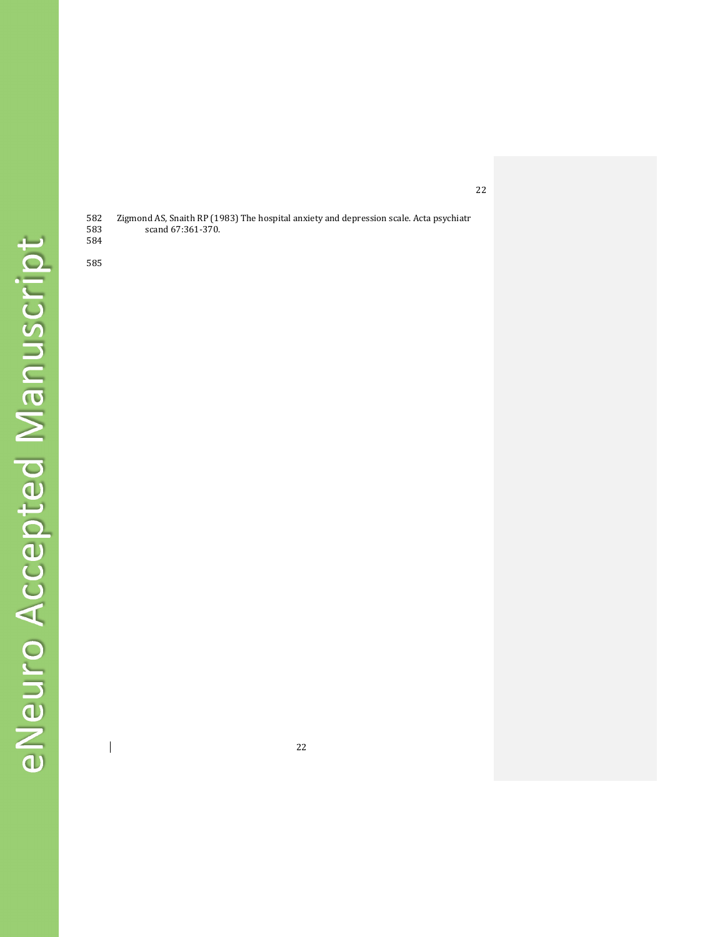582 Zigmond AS, Snaith RP (1983) The hospital anxiety and depression scale. Acta psychiatr scand 67:361-370.

584 585

 $\mathbf{l}$ 

22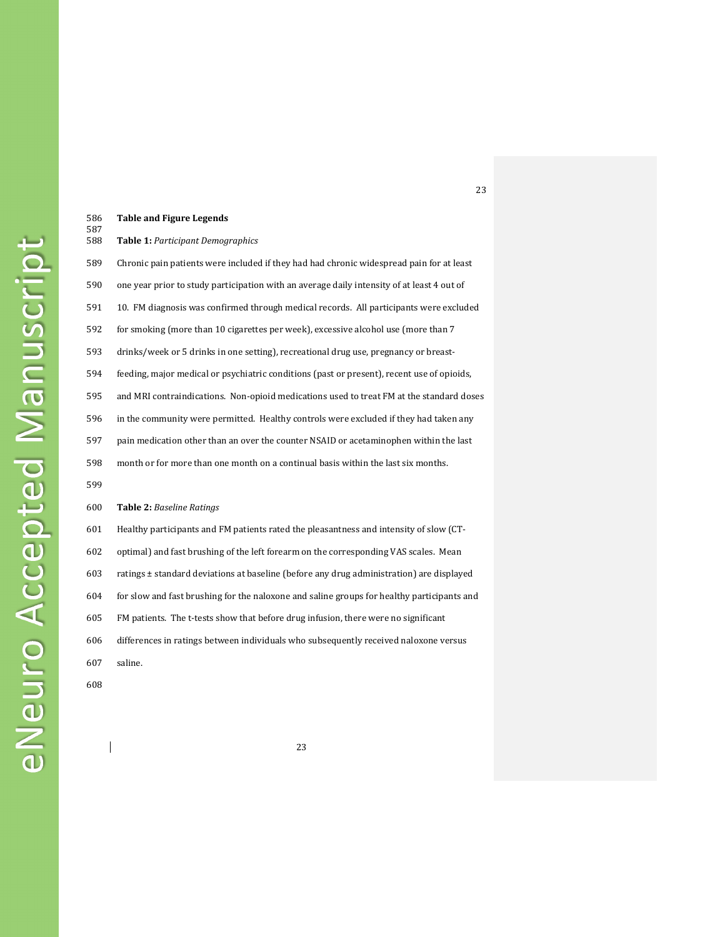# 587 588 **Table 1:** *Participant Demographics* 589 Chronic pain patients were included if they had had chronic widespread pain for at least 590 one year prior to study participation with an average daily intensity of at least 4 out of 591 10. FM diagnosis was confirmed through medical records. All participants were excluded 592 for smoking (more than 10 cigarettes per week), excessive alcohol use (more than 7 593 drinks/week or 5 drinks in one setting), recreational drug use, pregnancy or breast-594 feeding, major medical or psychiatric conditions (past or present), recent use of opioids, 595 and MRI contraindications. Non-opioid medications used to treat FM at the standard doses 596 in the community were permitted. Healthy controls were excluded if they had taken any 597 pain medication other than an over the counter NSAID or acetaminophen within the last 598 month or for more than one month on a continual basis within the last six months. 599 600 **Table 2:** *Baseline Ratings*  601 Healthy participants and FM patients rated the pleasantness and intensity of slow (CT-602 optimal) and fast brushing of the left forearm on the corresponding VAS scales. Mean 603 ratings ± standard deviations at baseline (before any drug administration) are displayed 604 for slow and fast brushing for the naloxone and saline groups for healthy participants and 605 FM patients. The t-tests show that before drug infusion, there were no significant 606 differences in ratings between individuals who subsequently received naloxone versus 607 saline.

23

608

586 **Table and Figure Legends**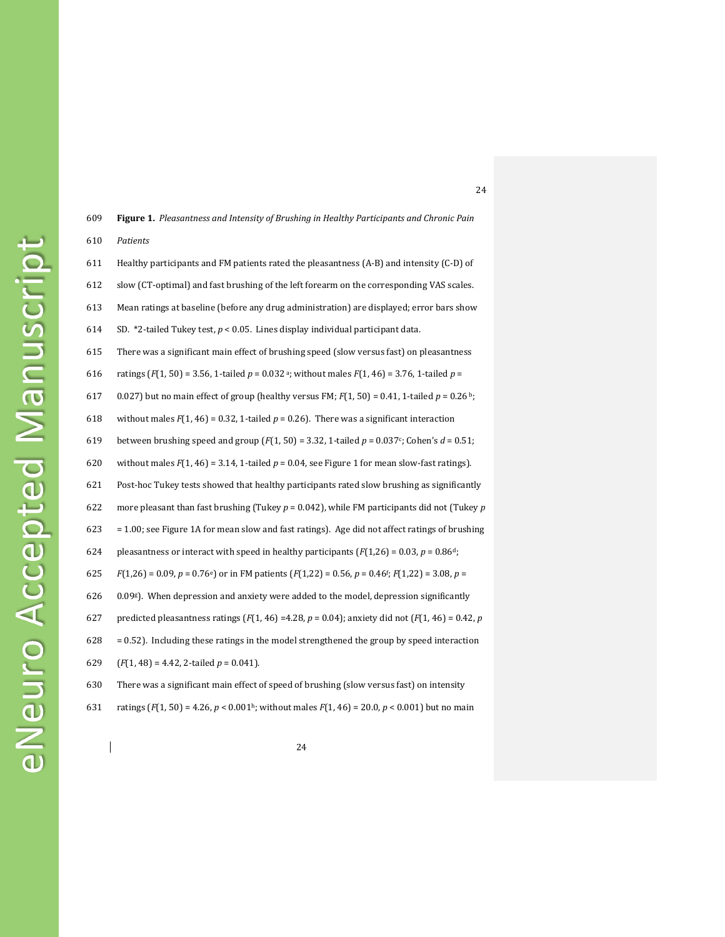610 *Patients*  611 Healthy participants and FM patients rated the pleasantness (A-B) and intensity (C-D) of 612 slow (CT-optimal) and fast brushing of the left forearm on the corresponding VAS scales. 613 Mean ratings at baseline (before any drug administration) are displayed; error bars show 614 SD. \*2-tailed Tukey test, *p* < 0.05. Lines display individual participant data. 615 There was a significant main effect of brushing speed (slow versus fast) on pleasantness 616 ratings ( $F(1, 50) = 3.56$ , 1-tailed  $p = 0.032$ <sup>a</sup>; without males  $F(1, 46) = 3.76$ , 1-tailed  $p = 0.032$ 617 0.027) but no main effect of group (healthy versus FM;  $F(1, 50) = 0.41$ , 1-tailed  $p = 0.26$ <sup>b</sup>; 618 without males  $F(1, 46) = 0.32$ , 1-tailed  $p = 0.26$ ). There was a significant interaction 619 between brushing speed and group  $(F(1, 50) = 3.32, 1)$ -tailed  $p = 0.037$ °; Cohen's  $d = 0.51$ ; 620 without males  $F(1, 46) = 3.14$ , 1-tailed  $p = 0.04$ , see Figure 1 for mean slow-fast ratings). 621 Post-hoc Tukey tests showed that healthy participants rated slow brushing as significantly 622 more pleasant than fast brushing (Tukey *p* = 0.042), while FM participants did not (Tukey *p* 623 = 1.00; see Figure 1A for mean slow and fast ratings). Age did not affect ratings of brushing 624 pleasantness or interact with speed in healthy participants  $(F(1,26) = 0.03, p = 0.86^d;$ *f*(1,26) = 0.09, *p* = 0.76<sup>e</sup>) or in FM patients (*F*(1,22) = 0.56, *p* = 0.46<sup>*f*</sup>; *F*(1,22) = 3.08, *p* =  $626$   $0.09$ <sup>g</sup>). When depression and anxiety were added to the model, depression significantly 627 predicted pleasantness ratings  $(F(1, 46) = 4.28, p = 0.04)$ ; anxiety did not  $(F(1, 46) = 0.42, p$  $628 = 0.52$ ). Including these ratings in the model strengthened the group by speed interaction 629 (*F*(1, 48) = 4.42, 2-tailed *p* = 0.041). 630 There was a significant main effect of speed of brushing (slow versus fast) on intensity

609 **Figure 1.** *Pleasantness and Intensity of Brushing in Healthy Participants and Chronic Pain* 

631 ratings  $(F(1, 50) = 4.26, p < 0.001$ <sup>h</sup>; without males  $F(1, 46) = 20.0, p < 0.001$  but no main

24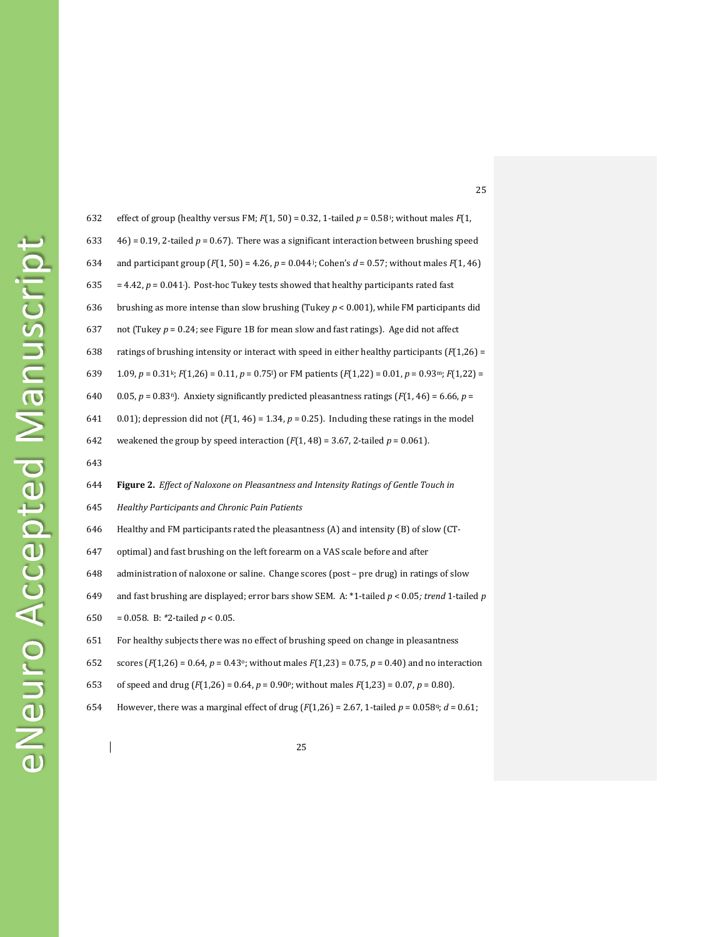632 effect of group (healthy versus FM;  $F(1, 50) = 0.32$ , 1-tailed  $p = 0.58$ <sup> $\text{!}$ </sup>; without males  $F(1, 50)$ 633  $46$  = 0.19, 2-tailed  $p = 0.67$ ). There was a significant interaction between brushing speed 634 and participant group  $(F(1, 50) = 4.26, p = 0.044$ <sup>j</sup>; Cohen's  $d = 0.57$ ; without males  $F(1, 46)$  $635 = 4.42$ ,  $p = 0.041$ . Post-hoc Tukey tests showed that healthy participants rated fast 636 brushing as more intense than slow brushing (Tukey  $p < 0.001$ ), while FM participants did 637 not (Tukey *p* = 0.24; see Figure 1B for mean slow and fast ratings). Age did not affect 638 ratings of brushing intensity or interact with speed in either healthy participants (*F*(1,26) = 639 1.09,  $p = 0.31^k$ ;  $F(1,26) = 0.11$ ,  $p = 0.75^l$  or FM patients ( $F(1,22) = 0.01$ ,  $p = 0.93^m$ ;  $F(1,22) = 0.01$ 640 0.05,  $p = 0.83$ <sup>n</sup>). Anxiety significantly predicted pleasantness ratings ( $F(1, 46) = 6.66$ ,  $p = 0.66$ 641 0.01); depression did not  $(F(1, 46) = 1.34, p = 0.25)$ . Including these ratings in the model 642 weakened the group by speed interaction  $(F(1, 48) = 3.67, 2$ -tailed  $p = 0.061$ ). 643 644 **Figure 2.** *Effect of Naloxone on Pleasantness and Intensity Ratings of Gentle Touch in*  645 *Healthy Participants and Chronic Pain Patients* 646 Healthy and FM participants rated the pleasantness (A) and intensity (B) of slow (CT-647 optimal) and fast brushing on the left forearm on a VAS scale before and after 648 administration of naloxone or saline. Change scores (post – pre drug) in ratings of slow 649 and fast brushing are displayed; error bars show SEM. A: \*1-tailed *p* < 0.05*; trend* 1-tailed *p* 650 = 0.058. B: *\**2-tailed *p* < 0.05*.*

651 For healthy subjects there was no effect of brushing speed on change in pleasantness

652 scores ( $F(1,26) = 0.64$ ,  $p = 0.43$ °; without males  $F(1,23) = 0.75$ ,  $p = 0.40$ ) and no interaction

653 of speed and drug ( $F(1,26) = 0.64$ ,  $p = 0.90$ <sup>p</sup>; without males  $F(1,23) = 0.07$ ,  $p = 0.80$ ).

654 However, there was a marginal effect of drug  $(F(1,26) = 2.67, 1\text{-}tailed p = 0.0589; d = 0.61;$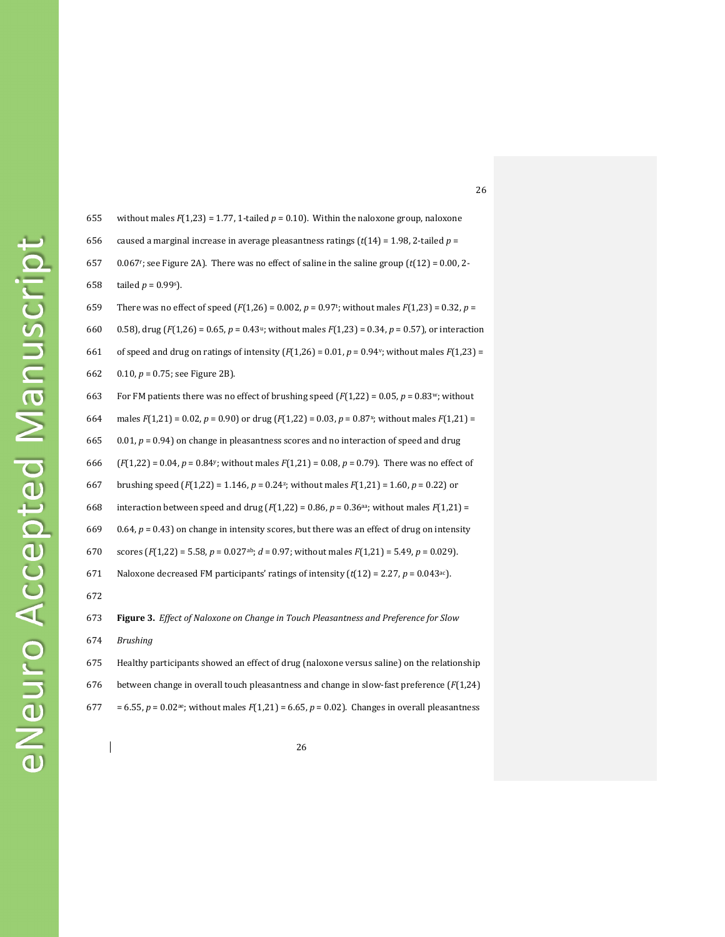656 caused a marginal increase in average pleasantness ratings  $(t(14) = 1.98, 2$ -tailed  $p =$ 657 0.067<sup>r</sup>; see Figure 2A). There was no effect of saline in the saline group  $(t(12) = 0.00, 2$ -658 tailed  $p = 0.99$ s). 659 There was no effect of speed  $(F(1,26) = 0.002, p = 0.97$ ; without males  $F(1,23) = 0.32, p = 0.97$ 660 0.58), drug (*F*(1,26) = 0.65, *p* = 0.43<sup>u</sup>; without males *F*(1,23) = 0.34, *p* = 0.57), or interaction 661 of speed and drug on ratings of intensity  $(F(1,26) = 0.01, p = 0.94$ <sup>v</sup>; without males  $F(1,23) =$ 662 0.10, *p* = 0.75; see Figure 2B). 663 For FM patients there was no effect of brushing speed  $(F(1,22) = 0.05, p = 0.83)$ , without 664 males  $F(1,21) = 0.02$ ,  $p = 0.90$  or drug  $(F(1,22) = 0.03$ ,  $p = 0.87$ <sup>x</sup>; without males  $F(1,21) =$ 665  $0.01$ ,  $p = 0.94$  on change in pleasantness scores and no interaction of speed and drug

655 without males  $F(1,23) = 1.77$ , 1-tailed  $p = 0.10$ ). Within the naloxone group, naloxone

- 
- 
- 
- 
- 
- 
- $($ *F*(1,22) = 0.04, *p* = 0.84<sup>y</sup>; without males *F*(1,21) = 0.08, *p* = 0.79). There was no effect of
- brushing speed  $(F(1,22) = 1.146, p = 0.24$ <sup>2</sup>; without males  $F(1,21) = 1.60, p = 0.22$  or
- 668 interaction between speed and drug  $(F(1,22) = 0.86, p = 0.36^{aa})$ ; without males  $F(1,21) =$
- 669  $0.64$ ,  $p = 0.43$  on change in intensity scores, but there was an effect of drug on intensity
- 670 scores ( $F(1,22) = 5.58$ ,  $p = 0.027$ <sup>ab</sup>;  $d = 0.97$ ; without males  $F(1,21) = 5.49$ ,  $p = 0.029$ ).

671 Naloxone decreased FM participants' ratings of intensity  $(t(12) = 2.27, p = 0.043$ <sup>ac</sup>).

672

673 **Figure 3.** *Effect of Naloxone on Change in Touch Pleasantness and Preference for Slow* 

674 *Brushing*

675 Healthy participants showed an effect of drug (naloxone versus saline) on the relationship 676 between change in overall touch pleasantness and change in slow-fast preference (*F*(1,24)  $677 = 6.55$ ,  $p = 0.02$ <sup>ae</sup>; without males  $F(1,21) = 6.65$ ,  $p = 0.02$ ). Changes in overall pleasantness

26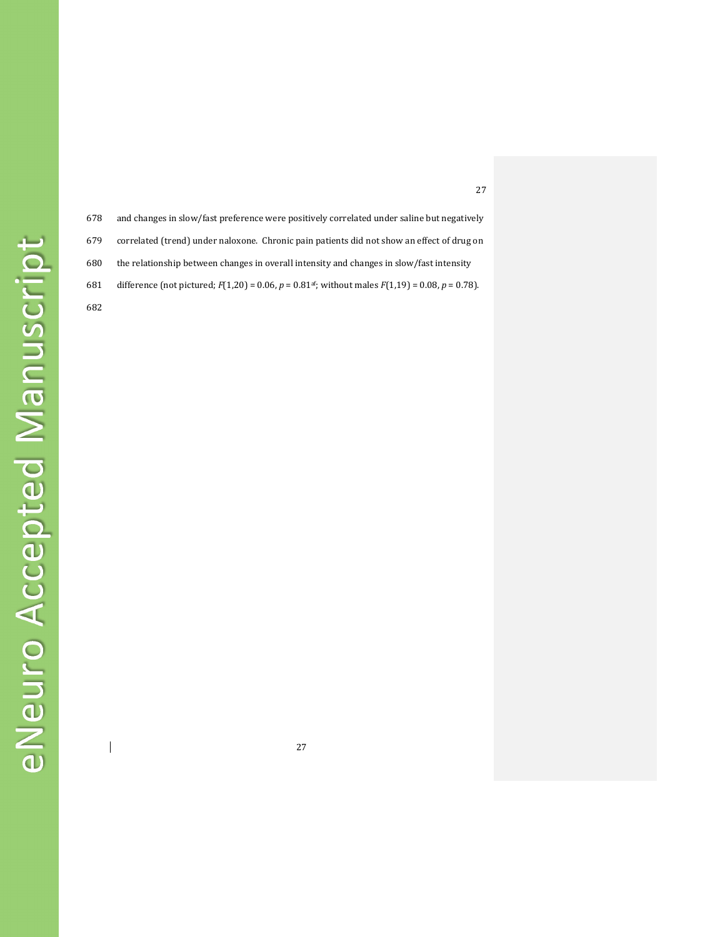| 678 | and changes in slow/fast preference were positively correlated under saline but negatively                 |
|-----|------------------------------------------------------------------------------------------------------------|
| 679 | correlated (trend) under naloxone. Chronic pain patients did not show an effect of drug on                 |
| 680 | the relationship between changes in overall intensity and changes in slow/fast intensity                   |
| 681 | difference (not pictured; $F(1,20) = 0.06$ , $p = 0.81$ af; without males $F(1,19) = 0.08$ , $p = 0.78$ ). |
| 682 |                                                                                                            |

 $\begin{array}{c} \hline \end{array}$ 

27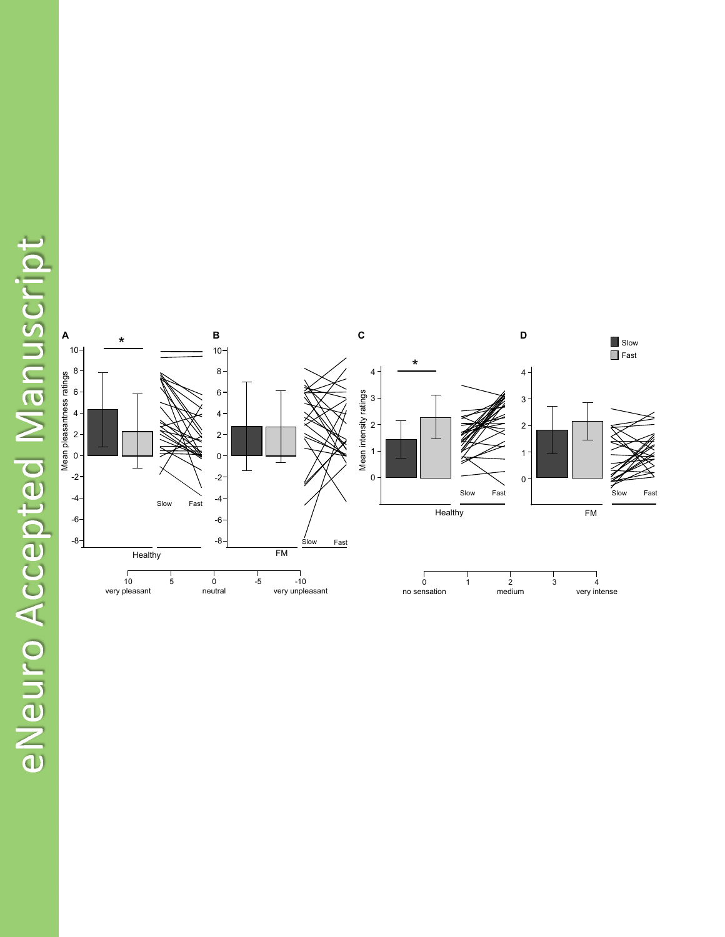eNeuro Accepted Manuscript

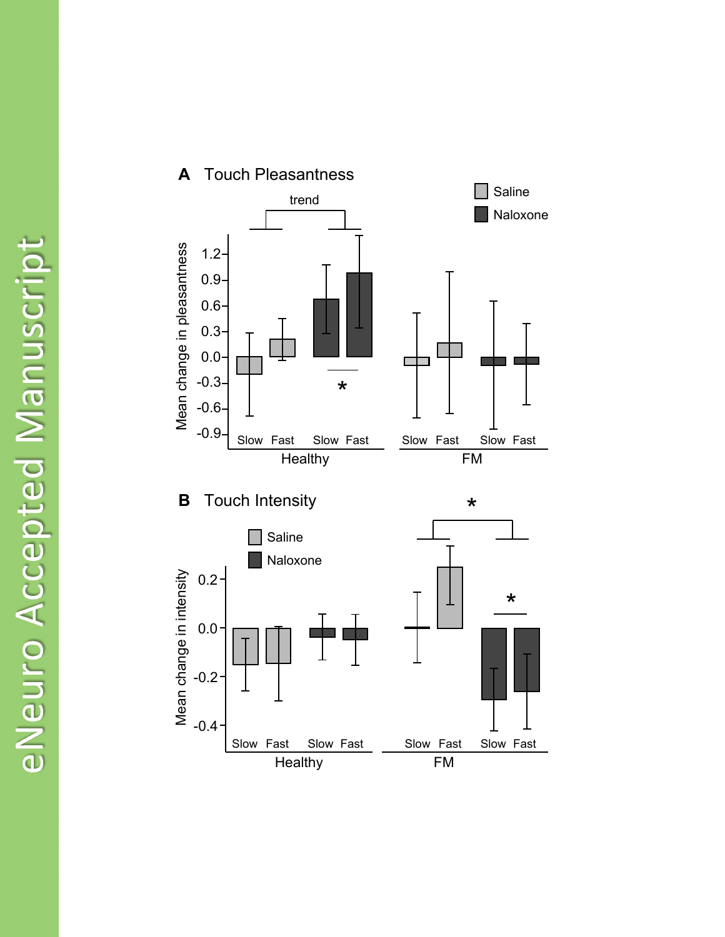



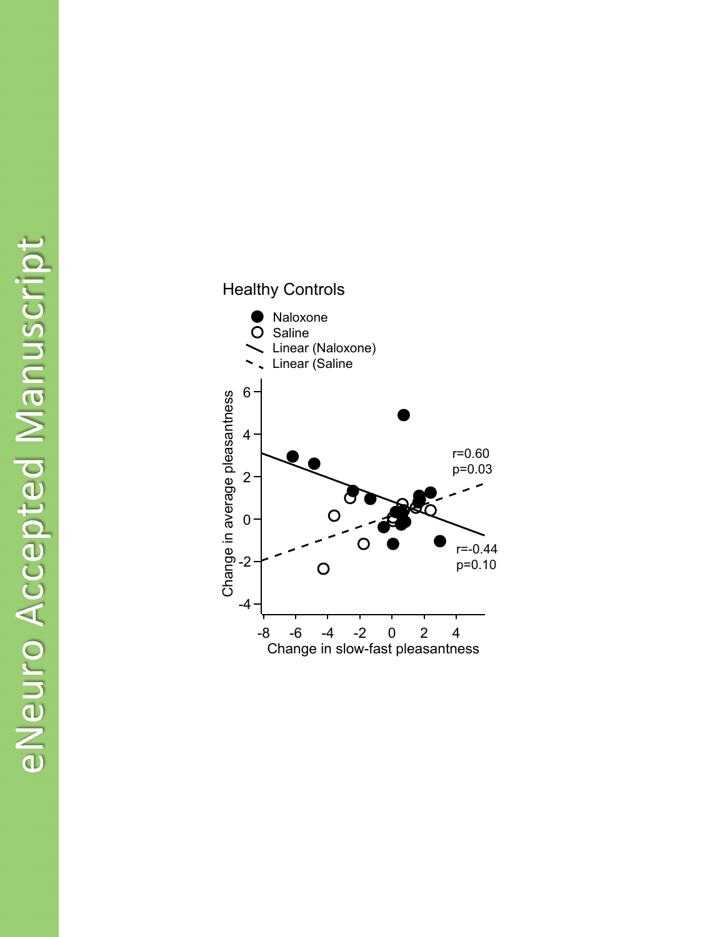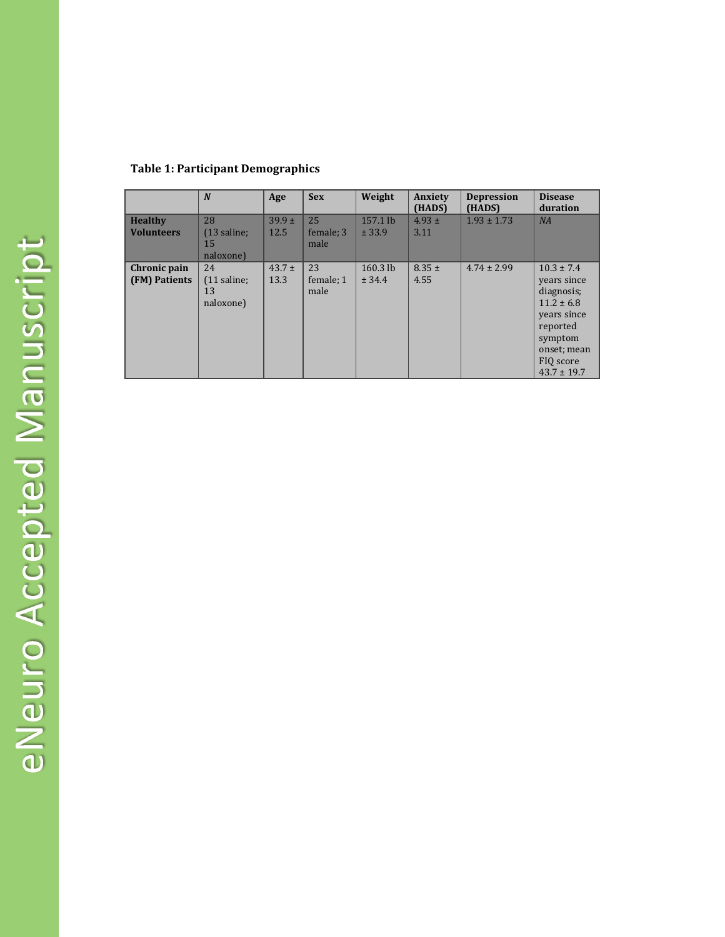|                                     | $\boldsymbol{N}$                       | Age                | <b>Sex</b>              | Weight             | Anxiety<br>(HADS)  | <b>Depression</b><br>(HADS) | <b>Disease</b><br>duration                                                                                                                         |
|-------------------------------------|----------------------------------------|--------------------|-------------------------|--------------------|--------------------|-----------------------------|----------------------------------------------------------------------------------------------------------------------------------------------------|
| <b>Healthy</b><br><b>Volunteers</b> | 28<br>$(13$ saline;<br>15<br>naloxone) | $39.9 \pm$<br>12.5 | 25<br>female; 3<br>male | 157.1 lb<br>± 33.9 | $4.93 \pm$<br>3.11 | $1.93 \pm 1.73$             | NA                                                                                                                                                 |
| Chronic pain<br>(FM) Patients       | 24<br>$(11$ saline;<br>13<br>naloxone) | $43.7 \pm$<br>13.3 | 23<br>female; 1<br>male | 160.3 lb<br>± 34.4 | $8.35 \pm$<br>4.55 | $4.74 \pm 2.99$             | $10.3 \pm 7.4$<br>vears since<br>diagnosis;<br>$11.2 \pm 6.8$<br>vears since<br>reported<br>symptom<br>onset; mean<br>FIO score<br>$43.7 \pm 19.7$ |

# **Table 1: Participant Demographics**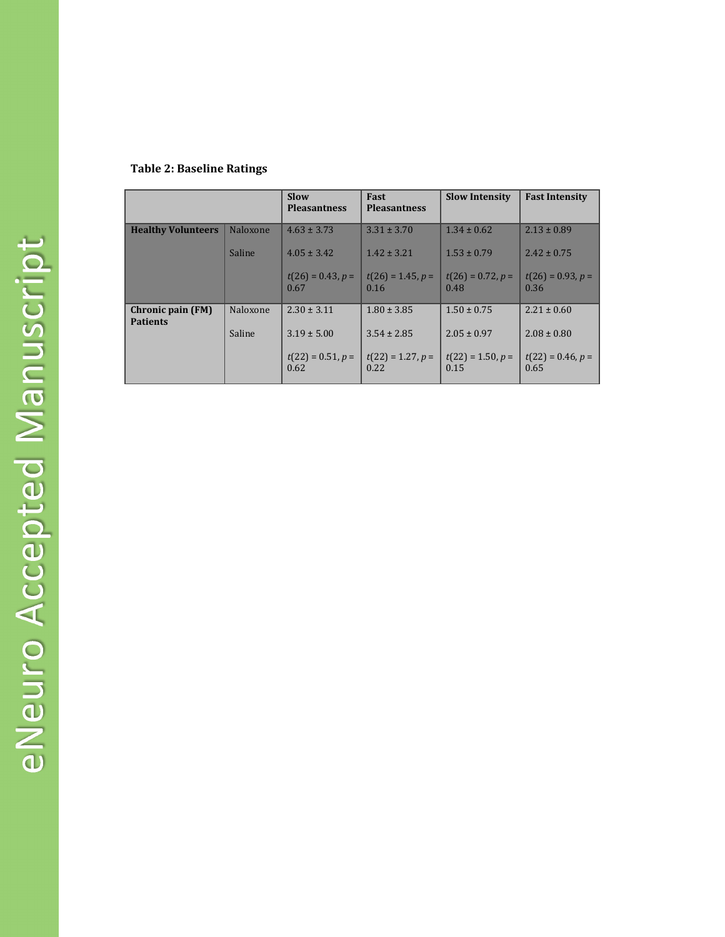# **Table 2: Baseline Ratings**

|                                             |                 | Slow<br><b>Pleasantness</b> | Fast<br><b>Pleasantness</b> | <b>Slow Intensity</b>       | <b>Fast Intensity</b>       |
|---------------------------------------------|-----------------|-----------------------------|-----------------------------|-----------------------------|-----------------------------|
| <b>Healthy Volunteers</b>                   | Naloxone        | $4.63 \pm 3.73$             | $3.31 \pm 3.70$             | $1.34 \pm 0.62$             | $2.13 \pm 0.89$             |
|                                             | <b>Saline</b>   | $4.05 \pm 3.42$             | $1.42 \pm 3.21$             | $1.53 \pm 0.79$             | $2.42 \pm 0.75$             |
|                                             |                 | $t(26) = 0.43, p =$<br>0.67 | $t(26) = 1.45, p =$<br>0.16 | $t(26) = 0.72, p =$<br>0.48 | $t(26) = 0.93, p =$<br>0.36 |
| <b>Chronic pain (FM)</b><br><b>Patients</b> | <b>Naloxone</b> | $2.30 \pm 3.11$             | $1.80 \pm 3.85$             | $1.50 \pm 0.75$             | $2.21 \pm 0.60$             |
|                                             | Saline          | $3.19 \pm 5.00$             | $3.54 \pm 2.85$             | $2.05 \pm 0.97$             | $2.08 \pm 0.80$             |
|                                             |                 | $t(22) = 0.51, p =$<br>0.62 | $t(22) = 1.27, p =$<br>0.22 | $t(22) = 1.50, p =$<br>0.15 | $t(22) = 0.46, p =$<br>0.65 |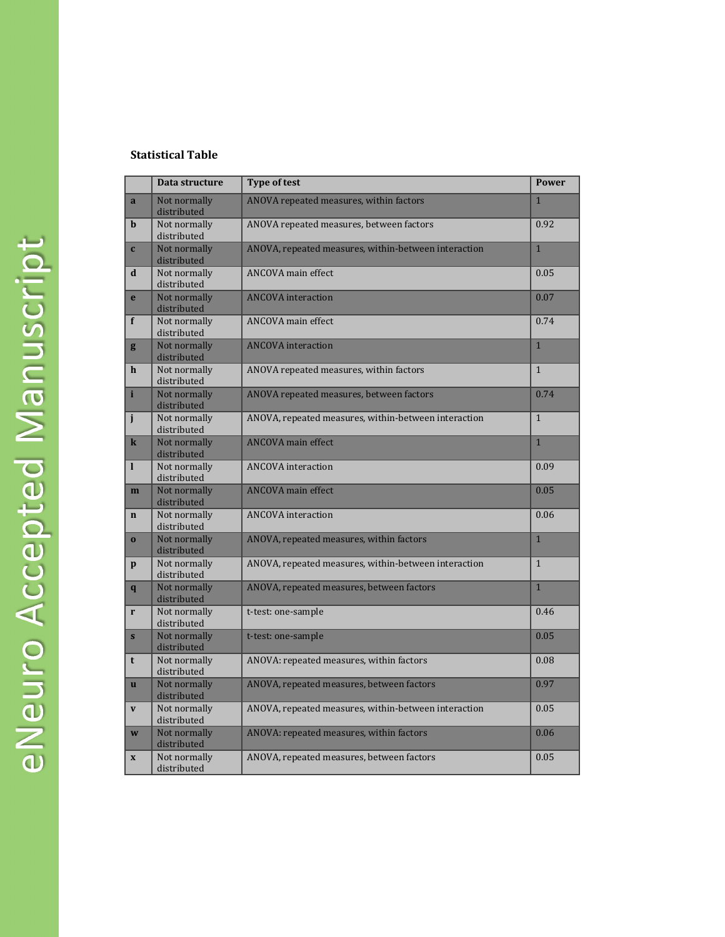## **Statistical Table**

|              | Data structure              | <b>Type of test</b>                                  | <b>Power</b>   |
|--------------|-----------------------------|------------------------------------------------------|----------------|
| $\mathbf{a}$ | Not normally<br>distributed | ANOVA repeated measures, within factors              | $\mathbf{1}$   |
| $\mathbf b$  | Not normally<br>distributed | ANOVA repeated measures, between factors             | 0.92           |
| $\mathbf{c}$ | Not normally<br>distributed | ANOVA, repeated measures, within-between interaction | $\mathbf{1}$   |
| d            | Not normally<br>distributed | <b>ANCOVA</b> main effect                            | 0.05           |
| $\mathbf{e}$ | Not normally<br>distributed | <b>ANCOVA</b> interaction                            | 0.07           |
| f            | Not normally<br>distributed | <b>ANCOVA</b> main effect                            | 0.74           |
| g            | Not normally<br>distributed | <b>ANCOVA</b> interaction                            | $\mathbf{1}$   |
| $\mathbf h$  | Not normally<br>distributed | ANOVA repeated measures, within factors              | $\mathbf{1}$   |
| $\mathbf{i}$ | Not normally<br>distributed | ANOVA repeated measures, between factors             | 0.74           |
| $\mathbf{j}$ | Not normally<br>distributed | ANOVA, repeated measures, within-between interaction | $\mathbf{1}$   |
| $\mathbf k$  | Not normally<br>distributed | <b>ANCOVA</b> main effect                            | $\overline{1}$ |
| $\mathbf{I}$ | Not normally<br>distributed | <b>ANCOVA</b> interaction                            | 0.09           |
| m            | Not normally<br>distributed | <b>ANCOVA</b> main effect                            | 0.05           |
| $\mathbf n$  | Not normally<br>distributed | <b>ANCOVA</b> interaction                            | 0.06           |
| $\bf{0}$     | Not normally<br>distributed | ANOVA, repeated measures, within factors             | $\overline{1}$ |
| $\mathbf{p}$ | Not normally<br>distributed | ANOVA, repeated measures, within-between interaction | $\mathbf{1}$   |
| $\mathbf{q}$ | Not normally<br>distributed | ANOVA, repeated measures, between factors            | $\overline{1}$ |
| $\mathbf r$  | Not normally<br>distributed | t-test: one-sample                                   | 0.46           |
| $\mathbf{s}$ | Not normally<br>distributed | t-test: one-sample                                   | 0.05           |
| t            | Not normally<br>distributed | ANOVA: repeated measures, within factors             | 0.08           |
| $\mathbf{u}$ | Not normally<br>distributed | ANOVA, repeated measures, between factors            | 0.97           |
| $\mathbf{V}$ | Not normally<br>distributed | ANOVA, repeated measures, within-between interaction | 0.05           |
| W            | Not normally<br>distributed | ANOVA: repeated measures, within factors             | 0.06           |
| X            | Not normally<br>distributed | ANOVA, repeated measures, between factors            | 0.05           |